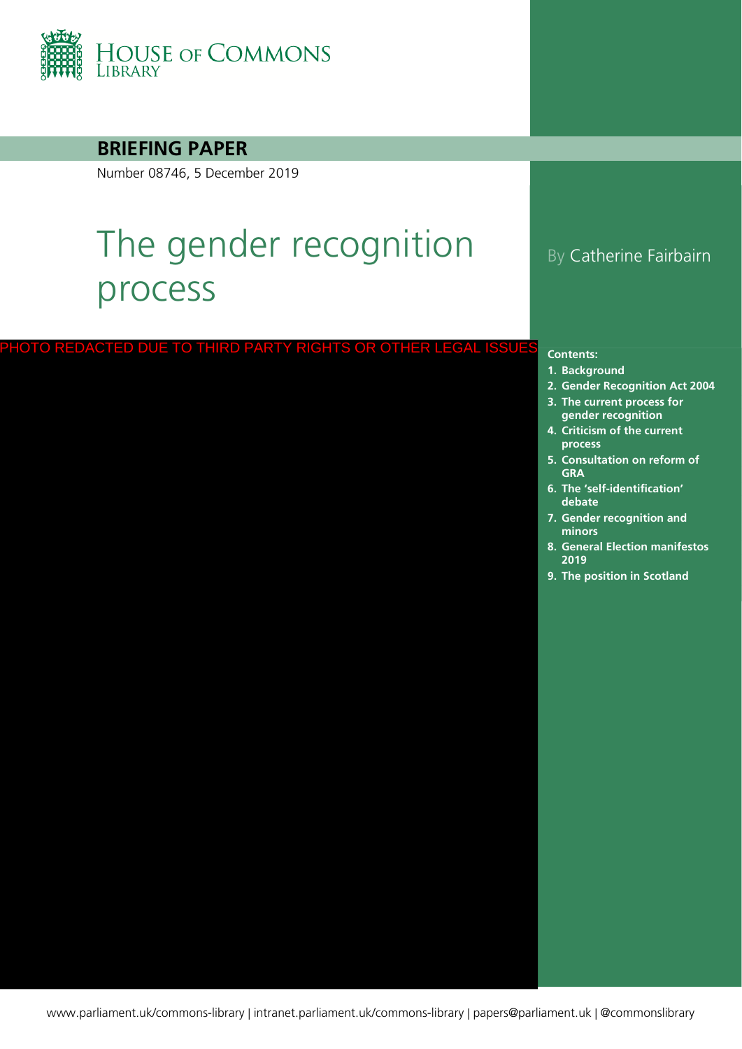

### **BRIEFING PAPER**

Number 08746, 5 December 2019

# The gender recognition process

#### PHOTO REDACTED DUE TO THIRD PARTY RIGHTS OR OTHER LEGAL ISSUES

### By Catherine Fairbairn

#### **Contents:**

- **1. [Background](#page-4-0)**
- **2. [Gender Recognition Act 2004](#page-7-0)**
- **3. [The current process for](#page-9-0)  gender recognition**
- **4. [Criticism of the current](#page-13-0)  process**
- **5. [Consultation on reform of](#page-17-0)  GRA**
- **6. [The 'self-identification'](#page-21-0)  debate**
- **7. [Gender recognition and](#page-26-0)  minors**
- **8. [General Election manifestos](#page-28-0)  2019**
- **9. [The position in Scotland](#page-29-0)**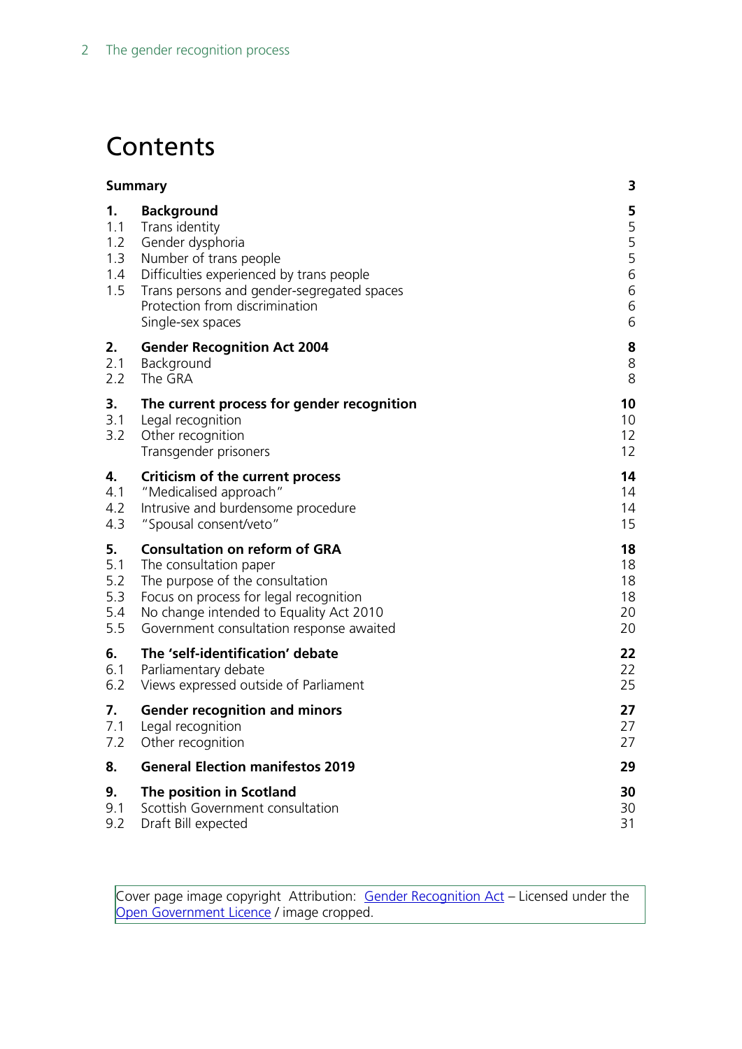# **Contents**

|                                       | <b>Summary</b>                                                                                                                                                                                                                     | 3                                              |
|---------------------------------------|------------------------------------------------------------------------------------------------------------------------------------------------------------------------------------------------------------------------------------|------------------------------------------------|
| 1.<br>1.1<br>1.2<br>1.3<br>1.4<br>1.5 | <b>Background</b><br>Trans identity<br>Gender dysphoria<br>Number of trans people<br>Difficulties experienced by trans people<br>Trans persons and gender-segregated spaces<br>Protection from discrimination<br>Single-sex spaces | 5<br>5<br>5<br>5<br>$\,$ 6 $\,$<br>6<br>6<br>6 |
| 2.                                    | <b>Gender Recognition Act 2004</b>                                                                                                                                                                                                 | 8                                              |
| 2.1                                   | Background                                                                                                                                                                                                                         | 8                                              |
| 2.2                                   | The GRA                                                                                                                                                                                                                            | 8                                              |
| 3.<br>3.1<br>3.2                      | The current process for gender recognition<br>Legal recognition<br>Other recognition<br>Transgender prisoners                                                                                                                      | 10<br>10<br>12<br>12                           |
| 4.                                    | <b>Criticism of the current process</b>                                                                                                                                                                                            | 14                                             |
| 4.1                                   | "Medicalised approach"                                                                                                                                                                                                             | 14                                             |
| 4.2                                   | Intrusive and burdensome procedure                                                                                                                                                                                                 | 14                                             |
| 4.3                                   | "Spousal consent/veto"                                                                                                                                                                                                             | 15                                             |
| 5.                                    | <b>Consultation on reform of GRA</b>                                                                                                                                                                                               | 18                                             |
| 5.1                                   | The consultation paper                                                                                                                                                                                                             | 18                                             |
| 5.2                                   | The purpose of the consultation                                                                                                                                                                                                    | 18                                             |
| 5.3                                   | Focus on process for legal recognition                                                                                                                                                                                             | 18                                             |
| 5.4                                   | No change intended to Equality Act 2010                                                                                                                                                                                            | 20                                             |
| 5.5                                   | Government consultation response awaited                                                                                                                                                                                           | 20                                             |
| 6.                                    | The 'self-identification' debate                                                                                                                                                                                                   | 22                                             |
| 6.1                                   | Parliamentary debate                                                                                                                                                                                                               | 22                                             |
| 6.2                                   | Views expressed outside of Parliament                                                                                                                                                                                              | 25                                             |
| 7.                                    | <b>Gender recognition and minors</b>                                                                                                                                                                                               | 27                                             |
| 7.1                                   | Legal recognition                                                                                                                                                                                                                  | 27                                             |
| 7.2                                   | Other recognition                                                                                                                                                                                                                  | 27                                             |
| 8.                                    | <b>General Election manifestos 2019</b>                                                                                                                                                                                            | 29                                             |
| 9.                                    | The position in Scotland                                                                                                                                                                                                           | 30                                             |
| 9.1                                   | Scottish Government consultation                                                                                                                                                                                                   | 30                                             |
| 9.2                                   | Draft Bill expected                                                                                                                                                                                                                | 31                                             |

Cover page image copyright Attribution: [Gender Recognition Act](http://www.legislation.gov.uk/ukpga/2004/7/resources) – Licensed under the [Open Government Licence](http://www.nationalarchives.gov.uk/doc/open-government-licence/version/3/) / image cropped.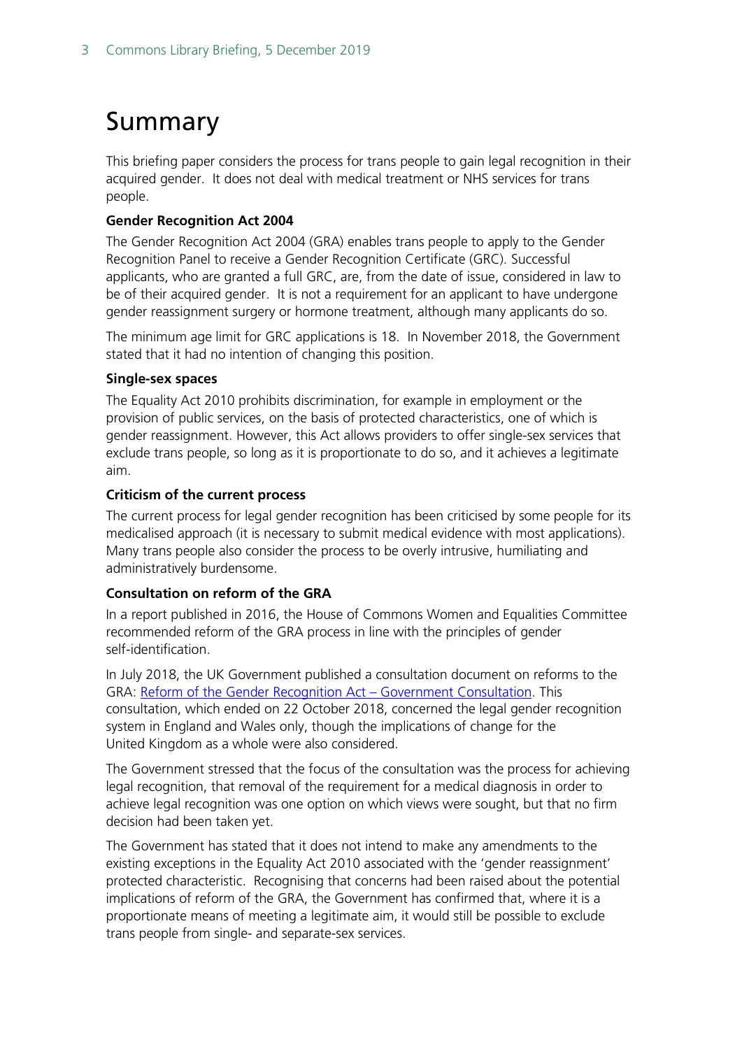# <span id="page-2-0"></span>Summary

This briefing paper considers the process for trans people to gain legal recognition in their acquired gender. It does not deal with medical treatment or NHS services for trans people.

#### **Gender Recognition Act 2004**

The Gender Recognition Act 2004 (GRA) enables trans people to apply to the Gender Recognition Panel to receive a Gender Recognition Certificate (GRC). Successful applicants, who are granted a full GRC, are, from the date of issue, considered in law to be of their acquired gender. It is not a requirement for an applicant to have undergone gender reassignment surgery or hormone treatment, although many applicants do so.

The minimum age limit for GRC applications is 18. In November 2018, the Government stated that it had no intention of changing this position.

#### **Single-sex spaces**

The Equality Act 2010 prohibits discrimination, for example in employment or the provision of public services, on the basis of protected characteristics, one of which is gender reassignment. However, this Act allows providers to offer single-sex services that exclude trans people, so long as it is proportionate to do so, and it achieves a legitimate aim.

#### **Criticism of the current process**

The current process for legal gender recognition has been criticised by some people for its medicalised approach (it is necessary to submit medical evidence with most applications). Many trans people also consider the process to be overly intrusive, humiliating and administratively burdensome.

#### **Consultation on reform of the GRA**

In a report published in 2016, the House of Commons Women and Equalities Committee recommended reform of the GRA process in line with the principles of gender self-identification.

In July 2018, the UK Government published a consultation document on reforms to the GRA: Reform of the Gender Recognition Act - Government Consultation. This consultation, which ended on 22 October 2018, concerned the legal gender recognition system in England and Wales only, though the implications of change for the United Kingdom as a whole were also considered.

The Government stressed that the focus of the consultation was the process for achieving legal recognition, that removal of the requirement for a medical diagnosis in order to achieve legal recognition was one option on which views were sought, but that no firm decision had been taken yet.

The Government has stated that it does not intend to make any amendments to the existing exceptions in the Equality Act 2010 associated with the 'gender reassignment' protected characteristic. Recognising that concerns had been raised about the potential implications of reform of the GRA, the Government has confirmed that, where it is a proportionate means of meeting a legitimate aim, it would still be possible to exclude trans people from single- and separate-sex services.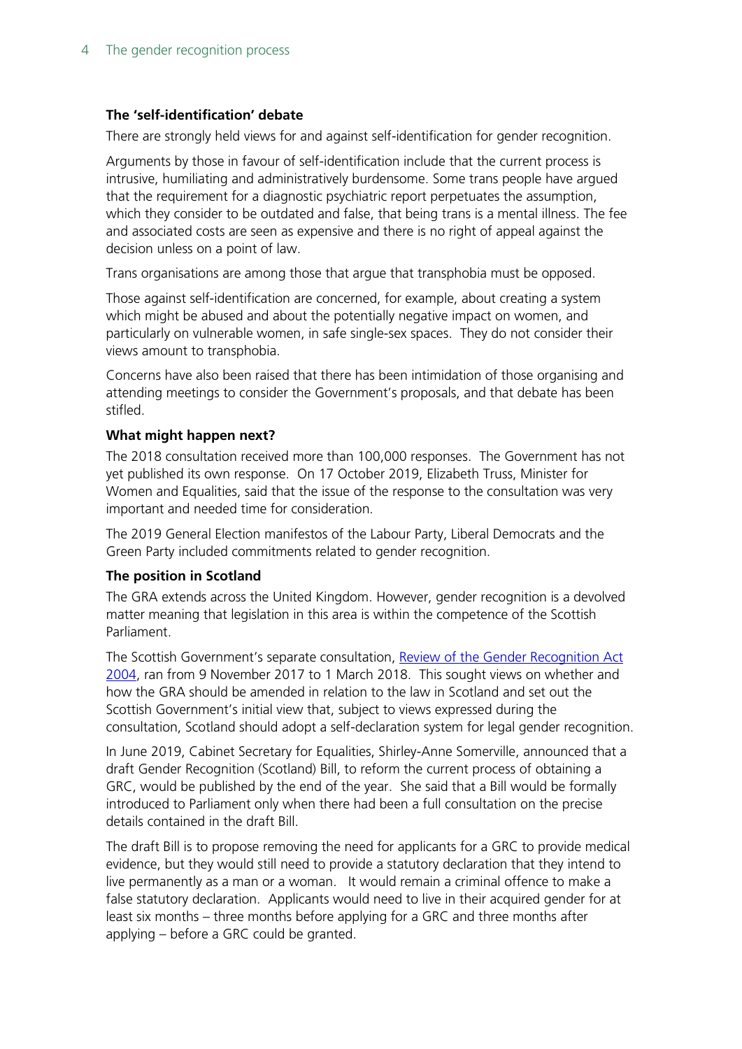#### **The 'self-identification' debate**

There are strongly held views for and against self-identification for gender recognition.

Arguments by those in favour of self-identification include that the current process is intrusive, humiliating and administratively burdensome. Some trans people have argued that the requirement for a diagnostic psychiatric report perpetuates the assumption, which they consider to be outdated and false, that being trans is a mental illness. The fee and associated costs are seen as expensive and there is no right of appeal against the decision unless on a point of law.

Trans organisations are among those that argue that transphobia must be opposed.

Those against self-identification are concerned, for example, about creating a system which might be abused and about the potentially negative impact on women, and particularly on vulnerable women, in safe single-sex spaces. They do not consider their views amount to transphobia.

Concerns have also been raised that there has been intimidation of those organising and attending meetings to consider the Government's proposals, and that debate has been stifled.

#### **What might happen next?**

The 2018 consultation received more than 100,000 responses. The Government has not yet published its own response. On 17 October 2019, Elizabeth Truss, Minister for Women and Equalities, said that the issue of the response to the consultation was very important and needed time for consideration.

The 2019 General Election manifestos of the Labour Party, Liberal Democrats and the Green Party included commitments related to gender recognition.

#### **The position in Scotland**

The GRA extends across the United Kingdom. However, gender recognition is a devolved matter meaning that legislation in this area is within the competence of the Scottish Parliament.

The Scottish Government's separate consultation, [Review of the Gender Recognition Act](https://www2.gov.scot/Resource/0052/00527449.pdf)  [2004,](https://www2.gov.scot/Resource/0052/00527449.pdf) ran from 9 November 2017 to 1 March 2018. This sought views on whether and how the GRA should be amended in relation to the law in Scotland and set out the Scottish Government's initial view that, subject to views expressed during the consultation, Scotland should adopt a self-declaration system for legal gender recognition.

In June 2019, Cabinet Secretary for Equalities, Shirley-Anne Somerville, announced that a draft Gender Recognition (Scotland) Bill, to reform the current process of obtaining a GRC, would be published by the end of the year. She said that a Bill would be formally introduced to Parliament only when there had been a full consultation on the precise details contained in the draft Bill.

The draft Bill is to propose removing the need for applicants for a GRC to provide medical evidence, but they would still need to provide a statutory declaration that they intend to live permanently as a man or a woman. It would remain a criminal offence to make a false statutory declaration. Applicants would need to live in their acquired gender for at least six months – three months before applying for a GRC and three months after applying – before a GRC could be granted.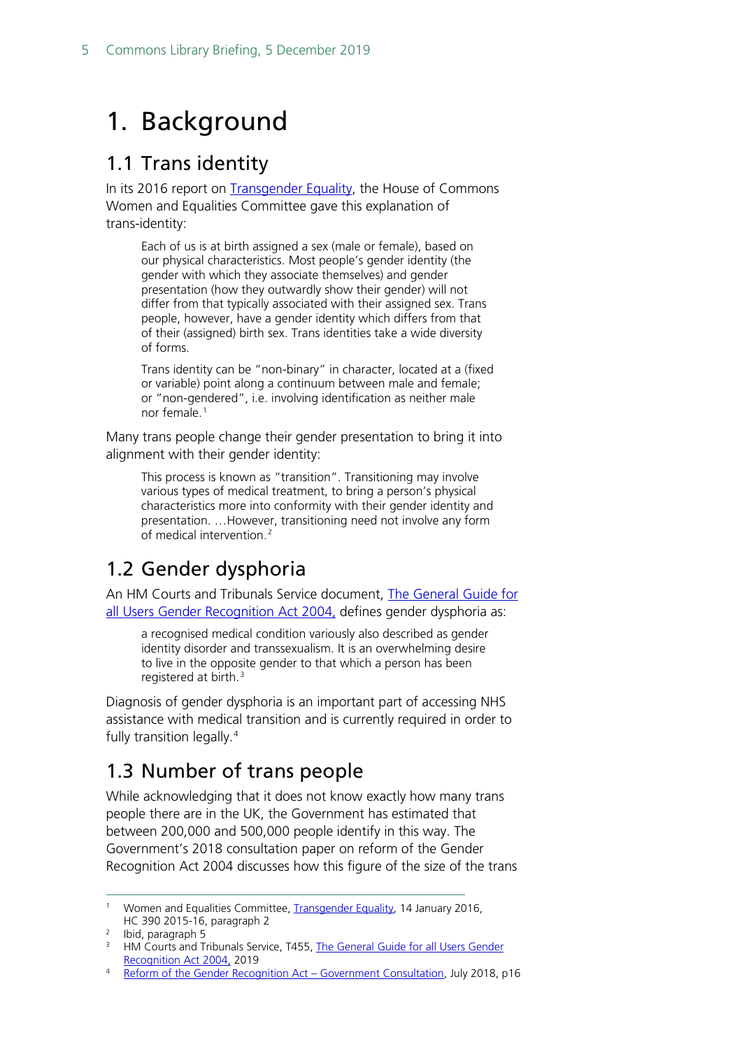# <span id="page-4-0"></span>1. Background

## <span id="page-4-1"></span>1.1 Trans identity

In its 2016 report on [Transgender Equality,](https://publications.parliament.uk/pa/cm201516/cmselect/cmwomeq/390/390.pdf#page=7) the House of Commons Women and Equalities Committee gave this explanation of trans-identity:

Each of us is at birth assigned a sex (male or female), based on our physical characteristics. Most people's gender identity (the gender with which they associate themselves) and gender presentation (how they outwardly show their gender) will not differ from that typically associated with their assigned sex. Trans people, however, have a gender identity which differs from that of their (assigned) birth sex. Trans identities take a wide diversity of forms.

Trans identity can be "non-binary" in character, located at a (fixed or variable) point along a continuum between male and female; or "non-gendered", i.e. involving identification as neither male nor female.<sup>[1](#page-4-4)</sup>

Many trans people change their gender presentation to bring it into alignment with their gender identity:

This process is known as "transition". Transitioning may involve various types of medical treatment, to bring a person's physical characteristics more into conformity with their gender identity and presentation. …However, transitioning need not involve any form of medical intervention.<sup>[2](#page-4-5)</sup>

## <span id="page-4-2"></span>1.2 Gender dysphoria

An HM Courts and Tribunals Service document, [The General Guide for](https://assets.publishing.service.gov.uk/government/uploads/system/uploads/attachment_data/file/720838/t455-eng.pdf#page=3)  [all Users Gender Recognition Act 2004,](https://assets.publishing.service.gov.uk/government/uploads/system/uploads/attachment_data/file/720838/t455-eng.pdf#page=3) defines gender dysphoria as:

a recognised medical condition variously also described as gender identity disorder and transsexualism. It is an overwhelming desire to live in the opposite gender to that which a person has been registered at birth. [3](#page-4-6)

Diagnosis of gender dysphoria is an important part of accessing NHS assistance with medical transition and is currently required in order to fully transition legally.<sup>[4](#page-4-7)</sup>

# <span id="page-4-3"></span>1.3 Number of trans people

While acknowledging that it does not know exactly how many trans people there are in the UK, the Government has estimated that between 200,000 and 500,000 people identify in this way. The Government's 2018 consultation paper on reform of the Gender Recognition Act 2004 discusses how this figure of the size of the trans

<span id="page-4-4"></span>Women and Equalities Committee, [Transgender Equality,](https://publications.parliament.uk/pa/cm201516/cmselect/cmwomeq/390/390.pdf#page=7) 14 January 2016, HC 390 2015-16, paragraph 2

<span id="page-4-5"></span><sup>2</sup> Ibid, paragraph 5

<span id="page-4-6"></span><sup>&</sup>lt;sup>3</sup> HM Courts and Tribunals Service, T455, The General Guide for all Users Gender [Recognition Act 2004,](https://assets.publishing.service.gov.uk/government/uploads/system/uploads/attachment_data/file/720838/t455-eng.pdf#page=3) 2019

<span id="page-4-7"></span>[Reform of the Gender Recognition Act –](https://assets.publishing.service.gov.uk/government/uploads/system/uploads/attachment_data/file/721725/GRA-Consultation-document.pdf#page=18) Government Consultation, July 2018, p16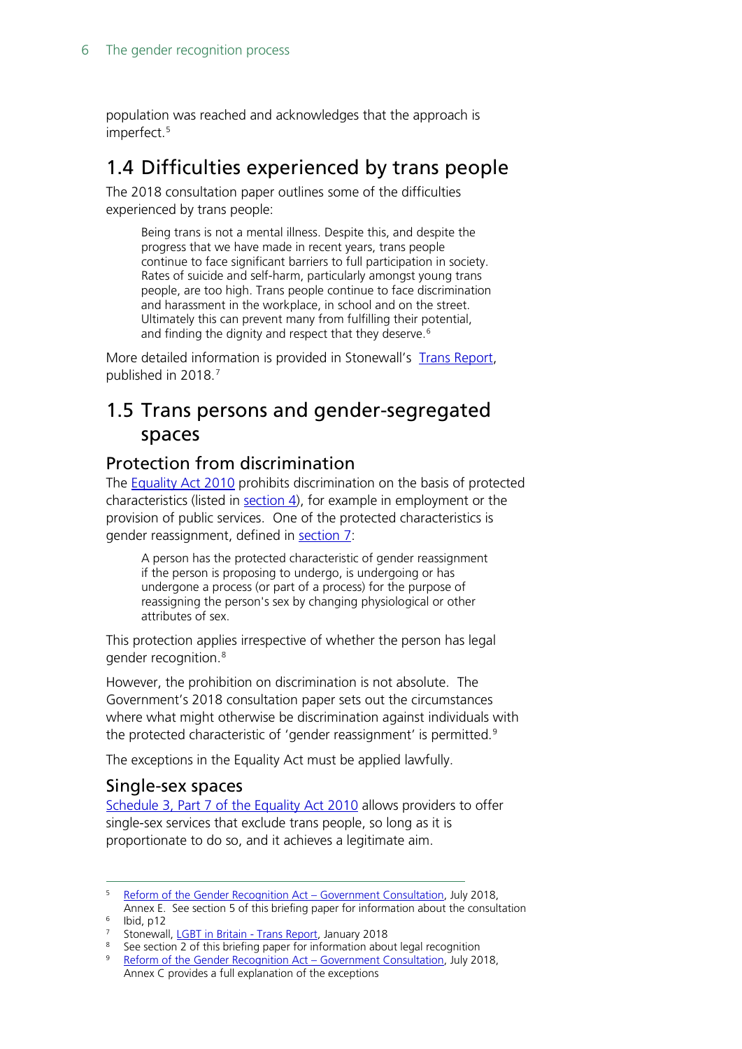population was reached and acknowledges that the approach is imperfect. [5](#page-5-4)

## <span id="page-5-0"></span>1.4 Difficulties experienced by trans people

The 2018 consultation paper outlines some of the difficulties experienced by trans people:

Being trans is not a mental illness. Despite this, and despite the progress that we have made in recent years, trans people continue to face significant barriers to full participation in society. Rates of suicide and self-harm, particularly amongst young trans people, are too high. Trans people continue to face discrimination and harassment in the workplace, in school and on the street. Ultimately this can prevent many from fulfilling their potential, and finding the dignity and respect that they deserve.<sup>[6](#page-5-5)</sup>

More detailed information is provided in Stonewall's [Trans Report,](https://www.stonewall.org.uk/system/files/lgbt_in_britain_-_trans_report_final.pdf) published in 2018. [7](#page-5-6)

## <span id="page-5-1"></span>1.5 Trans persons and gender-segregated spaces

### <span id="page-5-2"></span>Protection from discrimination

The **Equality Act 2010** prohibits discrimination on the basis of protected characteristics (listed in  $section 4$ ), for example in employment or the provision of public services. One of the protected characteristics is gender reassignment, defined in [section 7:](https://www.legislation.gov.uk/ukpga/2010/15/section/7)

A person has the protected characteristic of gender reassignment if the person is proposing to undergo, is undergoing or has undergone a process (or part of a process) for the purpose of reassigning the person's sex by changing physiological or other attributes of sex.

This protection applies irrespective of whether the person has legal gender recognition. [8](#page-5-7)

However, the prohibition on discrimination is not absolute. The Government's 2018 consultation paper sets out the circumstances where what might otherwise be discrimination against individuals with the protected characteristic of 'gender reassignment' is permitted.<sup>[9](#page-5-8)</sup>

The exceptions in the Equality Act must be applied lawfully.

### <span id="page-5-3"></span>Single-sex spaces

[Schedule 3, Part 7 of the Equality Act 2010](https://www.legislation.gov.uk/ukpga/2010/15/schedule/3/part/7) allows providers to offer single-sex services that exclude trans people, so long as it is proportionate to do so, and it achieves a legitimate aim.

<span id="page-5-4"></span> <sup>5</sup> [Reform of the Gender Recognition Act –](https://assets.publishing.service.gov.uk/government/uploads/system/uploads/attachment_data/file/721725/GRA-Consultation-document.pdf#page=83) Government Consultation, July 2018, Annex E. See section 5 of this briefing paper for information about the consultation

<span id="page-5-5"></span> $6$  Ibid, p12

<span id="page-5-6"></span><sup>&</sup>lt;sup>7</sup> Stonewall, *LGBT in Britain - Trans Report*, January 2018

<span id="page-5-7"></span><sup>&</sup>lt;sup>8</sup> See section 2 of this briefing paper for information about legal recognition

<span id="page-5-8"></span><sup>9</sup> [Reform of the Gender Recognition Act –](https://assets.publishing.service.gov.uk/government/uploads/system/uploads/attachment_data/file/721725/GRA-Consultation-document.pdf#page=74) Government Consultation, July 2018, Annex C provides a full explanation of the exceptions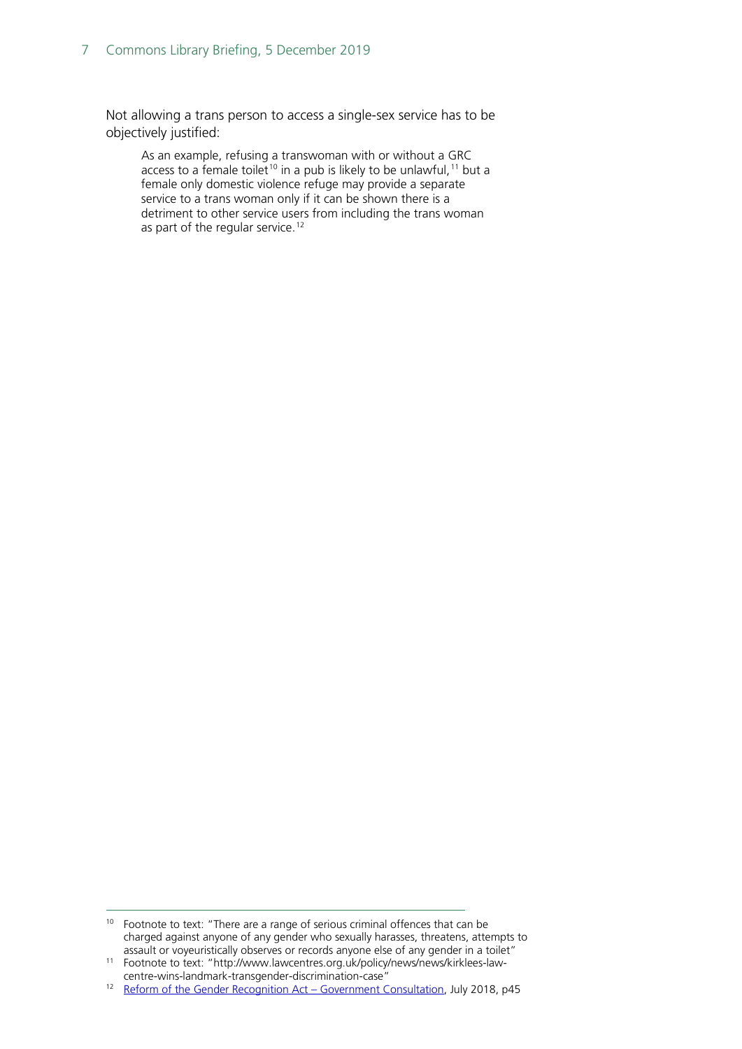Not allowing a trans person to access a single-sex service has to be objectively justified:

As an example, refusing a transwoman with or without a GRC access to a female toilet<sup>[10](#page-6-0)</sup> in a pub is likely to be unlawful,<sup>[11](#page-6-1)</sup> but a female only domestic violence refuge may provide a separate service to a trans woman only if it can be shown there is a detriment to other service users from including the trans woman as part of the regular service.<sup>[12](#page-6-2)</sup>

<span id="page-6-0"></span> $10$  Footnote to text: "There are a range of serious criminal offences that can be charged against anyone of any gender who sexually harasses, threatens, attempts to assault or voyeuristically observes or records anyone else of any gender in a toilet"

<span id="page-6-1"></span><sup>11</sup> Footnote to text: "http://www.lawcentres.org.uk/policy/news/news/kirklees-law-

<span id="page-6-2"></span><sup>&</sup>lt;sup>12</sup> [Reform of the Gender Recognition Act –](https://assets.publishing.service.gov.uk/government/uploads/system/uploads/attachment_data/file/721725/GRA-Consultation-document.pdf#page=74) Government Consultation, July 2018, p45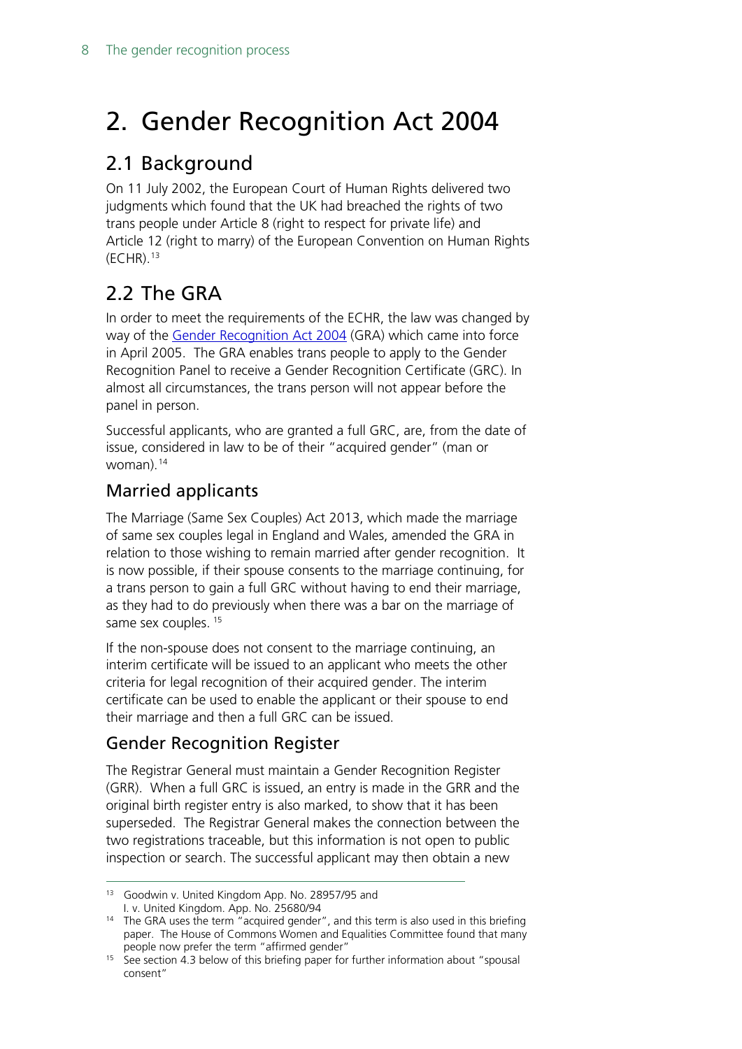# <span id="page-7-0"></span>2. Gender Recognition Act 2004

## <span id="page-7-1"></span>2.1 Background

On 11 July 2002, the European Court of Human Rights delivered two judgments which found that the UK had breached the rights of two trans people under Article 8 (right to respect for private life) and Article 12 (right to marry) of the European Convention on Human Rights (ECHR). [13](#page-7-3)

# <span id="page-7-2"></span>2.2 The GRA

In order to meet the requirements of the ECHR, the law was changed by way of the [Gender Recognition Act 2004](http://www.legislation.gov.uk/ukpga/2004/7/contents) (GRA) which came into force in April 2005. The GRA enables trans people to apply to the Gender Recognition Panel to receive a Gender Recognition Certificate (GRC). In almost all circumstances, the trans person will not appear before the panel in person.

Successful applicants, who are granted a full GRC, are, from the date of issue, considered in law to be of their "acquired gender" (man or woman). [14](#page-7-4)

## Married applicants

The Marriage (Same Sex Couples) Act 2013, which made the marriage of same sex couples legal in England and Wales, amended the GRA in relation to those wishing to remain married after gender recognition. It is now possible, if their spouse consents to the marriage continuing, for a trans person to gain a full GRC without having to end their marriage, as they had to do previously when there was a bar on the marriage of same sex couples.<sup>[15](#page-7-5)</sup>

If the non-spouse does not consent to the marriage continuing, an interim certificate will be issued to an applicant who meets the other criteria for legal recognition of their acquired gender. The interim certificate can be used to enable the applicant or their spouse to end their marriage and then a full GRC can be issued.

## Gender Recognition Register

The Registrar General must maintain a Gender Recognition Register (GRR). When a full GRC is issued, an entry is made in the GRR and the original birth register entry is also marked, to show that it has been superseded. The Registrar General makes the connection between the two registrations traceable, but this information is not open to public inspection or search. The successful applicant may then obtain a new

<span id="page-7-3"></span><sup>&</sup>lt;sup>13</sup> Goodwin v. United Kingdom App. No. 28957/95 and I. v. United Kingdom. App. No. 25680/94

<span id="page-7-4"></span><sup>&</sup>lt;sup>14</sup> The GRA uses the term "acquired gender", and this term is also used in this briefing paper. The House of Commons Women and Equalities Committee found that many people now prefer the term "affirmed gender"

<span id="page-7-5"></span><sup>&</sup>lt;sup>15</sup> See section 4.3 below of this briefing paper for further information about "spousal consent"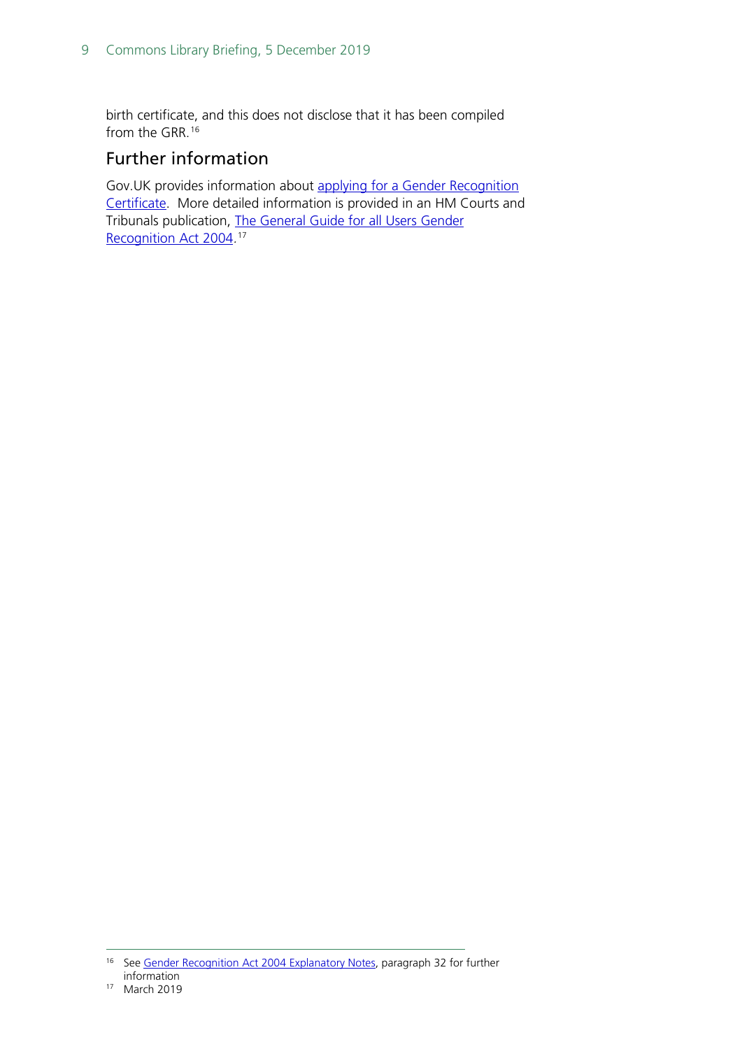birth certificate, and this does not disclose that it has been compiled from the GRR. [16](#page-8-0)

## Further information

Gov.UK provides information about [applying for a Gender Recognition](https://www.gov.uk/apply-gender-recognition-certificate/overview)  [Certificate.](https://www.gov.uk/apply-gender-recognition-certificate/overview) More detailed information is provided in an HM Courts and Tribunals publication, [The General Guide for all Users Gender](https://assets.publishing.service.gov.uk/government/uploads/system/uploads/attachment_data/file/720838/t455-eng.pdf)  [Recognition Act 2004](https://assets.publishing.service.gov.uk/government/uploads/system/uploads/attachment_data/file/720838/t455-eng.pdf).<sup>[17](#page-8-1)</sup>

<span id="page-8-0"></span><sup>&</sup>lt;sup>16</sup> See [Gender Recognition Act 2004 Explanatory Notes,](http://www.legislation.gov.uk/ukpga/2004/7/notes/data.pdf) paragraph 32 for further information

<span id="page-8-1"></span><sup>17</sup> March 2019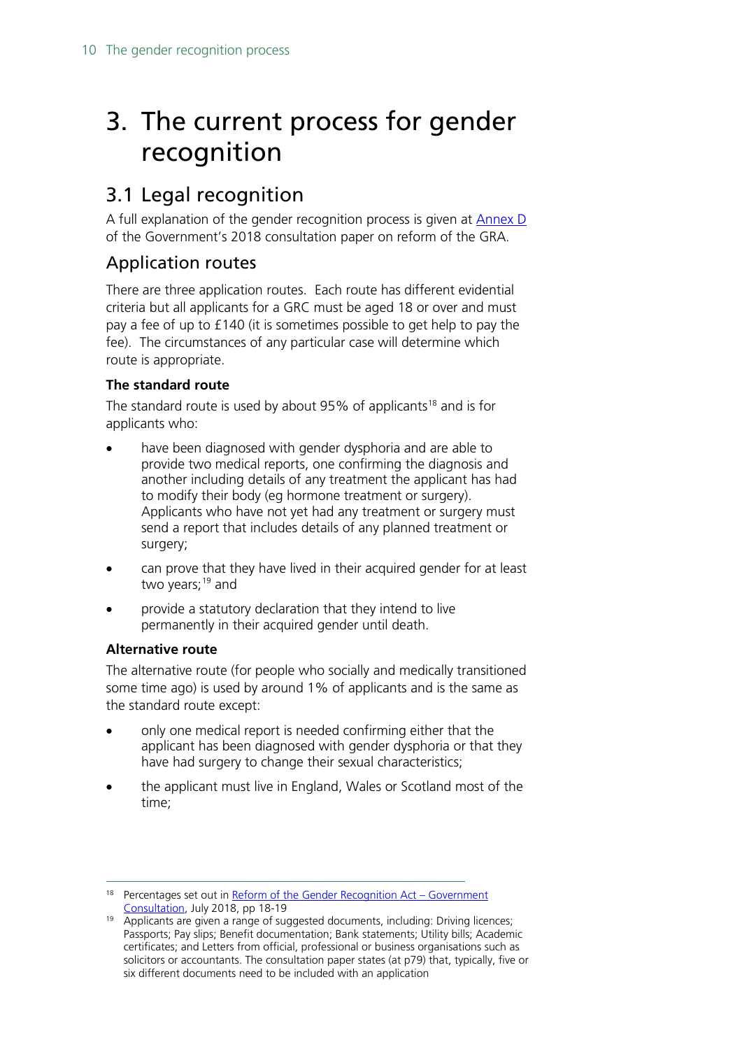# <span id="page-9-0"></span>3. The current process for gender recognition

## <span id="page-9-1"></span>3.1 Legal recognition

A full explanation of the gender recognition process is given at [Annex](https://assets.publishing.service.gov.uk/government/uploads/system/uploads/attachment_data/file/721725/GRA-Consultation-document.pdf#page=78) D of the Government's 2018 consultation paper on reform of the GRA.

## Application routes

There are three application routes. Each route has different evidential criteria but all applicants for a GRC must be aged 18 or over and must pay a fee of up to £140 (it is sometimes possible to get help to pay the fee). The circumstances of any particular case will determine which route is appropriate.

### **The standard route**

The standard route is used by about 95% of applicants<sup>[18](#page-9-2)</sup> and is for applicants who:

- have been diagnosed with gender dysphoria and are able to provide two medical reports, one confirming the diagnosis and another including details of any treatment the applicant has had to modify their body (eg hormone treatment or surgery). Applicants who have not yet had any treatment or surgery must send a report that includes details of any planned treatment or surgery;
- can prove that they have lived in their acquired gender for at least two years; [19](#page-9-3) and
- provide a statutory declaration that they intend to live permanently in their acquired gender until death.

#### **Alternative route**

The alternative route (for people who socially and medically transitioned some time ago) is used by around 1% of applicants and is the same as the standard route except:

- only one medical report is needed confirming either that the applicant has been diagnosed with gender dysphoria or that they have had surgery to change their sexual characteristics;
- the applicant must live in England, Wales or Scotland most of the time;

<span id="page-9-2"></span> $18$  Percentages set out in [Reform of the Gender Recognition Act –](https://assets.publishing.service.gov.uk/government/uploads/system/uploads/attachment_data/file/721725/GRA-Consultation-document.pdf#page=20) Government [Consultation,](https://assets.publishing.service.gov.uk/government/uploads/system/uploads/attachment_data/file/721725/GRA-Consultation-document.pdf#page=20) July 2018, pp 18-19

<span id="page-9-3"></span><sup>&</sup>lt;sup>19</sup> Applicants are given a range of suggested documents, including: Driving licences; Passports; Pay slips; Benefit documentation; Bank statements; Utility bills; Academic certificates; and Letters from official, professional or business organisations such as solicitors or accountants. The consultation paper states (at p79) that, typically, five or six different documents need to be included with an application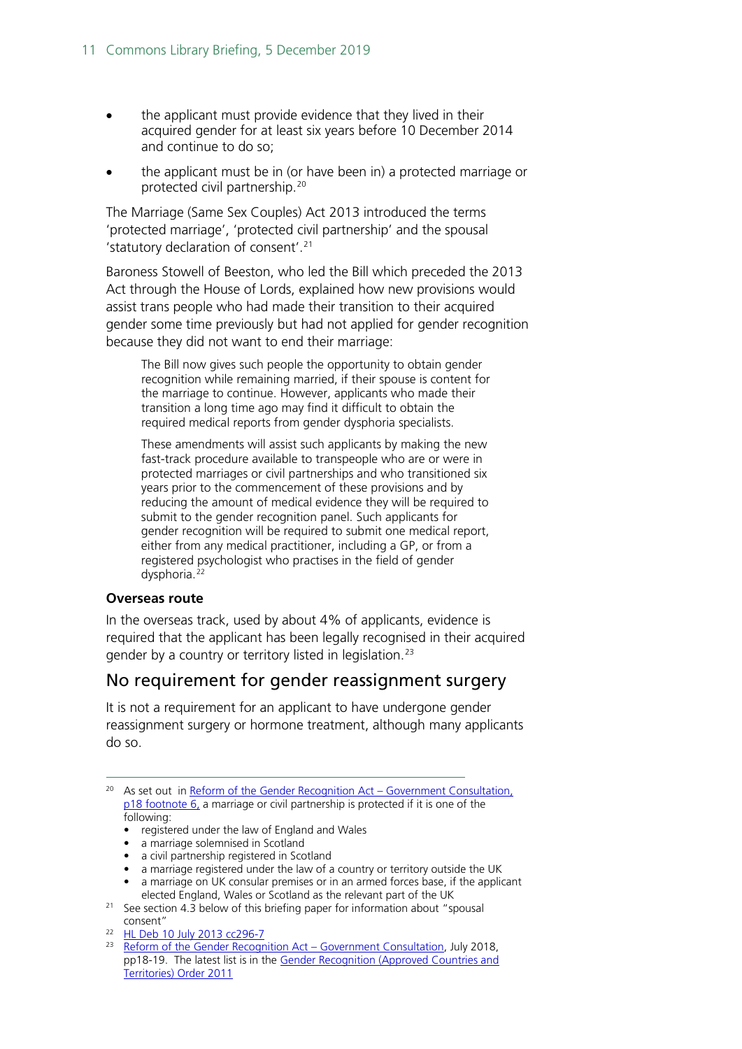- the applicant must provide evidence that they lived in their acquired gender for at least six years before 10 December 2014 and continue to do so;
- the applicant must be in (or have been in) a protected marriage or protected civil partnership. [20](#page-10-0)

The Marriage (Same Sex Couples) Act 2013 introduced the terms 'protected marriage', 'protected civil partnership' and the spousal 'statutory declaration of consent'.[21](#page-10-1)

Baroness Stowell of Beeston, who led the Bill which preceded the 2013 Act through the House of Lords, explained how new provisions would assist trans people who had made their transition to their acquired gender some time previously but had not applied for gender recognition because they did not want to end their marriage:

The Bill now gives such people the opportunity to obtain gender recognition while remaining married, if their spouse is content for the marriage to continue. However, applicants who made their transition a long time ago may find it difficult to obtain the required medical reports from gender dysphoria specialists.

These amendments will assist such applicants by making the new fast-track procedure available to transpeople who are or were in protected marriages or civil partnerships and who transitioned six years prior to the commencement of these provisions and by reducing the amount of medical evidence they will be required to submit to the gender recognition panel. Such applicants for gender recognition will be required to submit one medical report, either from any medical practitioner, including a GP, or from a registered psychologist who practises in the field of gender dysphoria.<sup>[22](#page-10-2)</sup>

#### **Overseas route**

In the overseas track, used by about 4% of applicants, evidence is required that the applicant has been legally recognised in their acquired gender by a country or territory listed in legislation.<sup>[23](#page-10-3)</sup>

### No requirement for gender reassignment surgery

It is not a requirement for an applicant to have undergone gender reassignment surgery or hormone treatment, although many applicants do so.

- <span id="page-10-0"></span><sup>20</sup> As set out in [Reform of the Gender Recognition Act –](https://assets.publishing.service.gov.uk/government/uploads/system/uploads/attachment_data/file/721725/GRA-Consultation-document.pdf#page=20) Government Consultation, p18 footnote 6, a marriage or civil partnership is protected if it is one of the following:
	- registered under the law of England and Wales
	- a marriage solemnised in Scotland
	- a civil partnership registered in Scotland
	- a marriage registered under the law of a country or territory outside the UK
	- a marriage on UK consular premises or in an armed forces base, if the applicant elected England, Wales or Scotland as the relevant part of the UK
- <span id="page-10-1"></span><sup>21</sup> See section 4.3 below of this briefing paper for information about "spousal consent"
- <span id="page-10-2"></span><sup>22</sup> [HL Deb 10 July 2013 cc296-7](https://publications.parliament.uk/pa/ld201314/ldhansrd/text/130710-0001.htm#13071071000499)

<span id="page-10-3"></span><sup>&</sup>lt;sup>23</sup> [Reform of the Gender Recognition Act –](https://assets.publishing.service.gov.uk/government/uploads/system/uploads/attachment_data/file/721725/GRA-Consultation-document.pdf#page=20) Government Consultation, July 2018, pp18-19. The latest list is in the [Gender Recognition \(Approved Countries and](http://www.legislation.gov.uk/uksi/2011/1630/contents/made)  [Territories\) Order 2011](http://www.legislation.gov.uk/uksi/2011/1630/contents/made)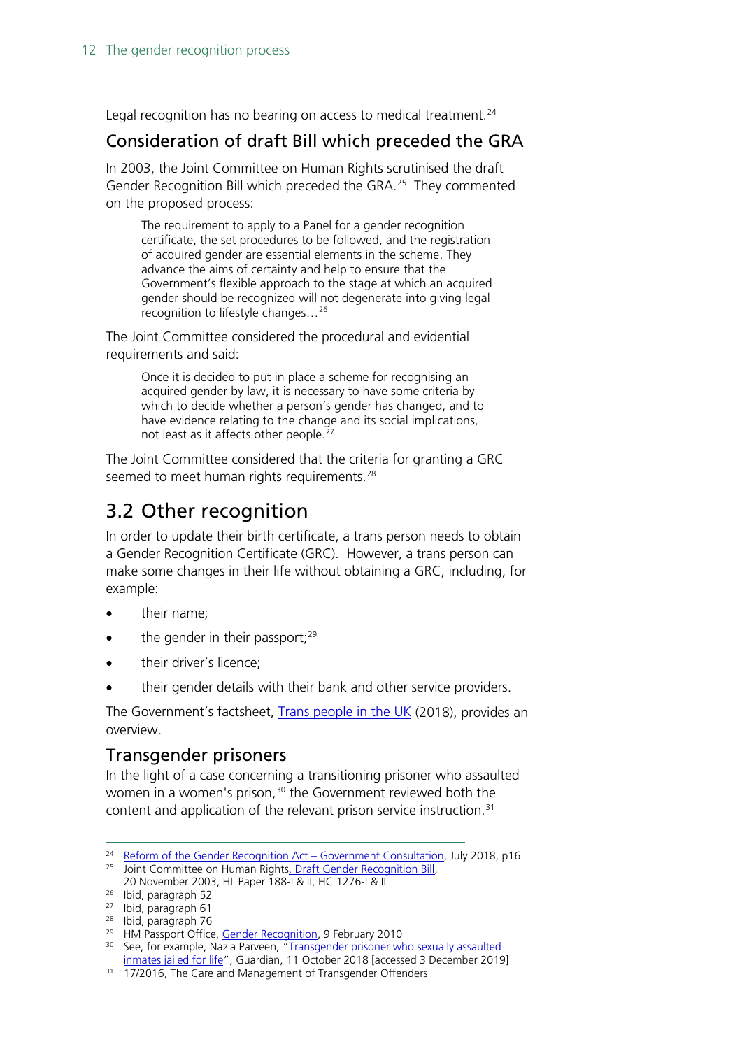Legal recognition has no bearing on access to medical treatment.<sup>[24](#page-11-2)</sup>

## Consideration of draft Bill which preceded the GRA

In 2003, the Joint Committee on Human Rights scrutinised the draft Gender Recognition Bill which preceded the GRA.<sup>[25](#page-11-3)</sup> They commented on the proposed process:

The requirement to apply to a Panel for a gender recognition certificate, the set procedures to be followed, and the registration of acquired gender are essential elements in the scheme. They advance the aims of certainty and help to ensure that the Government's flexible approach to the stage at which an acquired gender should be recognized will not degenerate into giving legal recognition to lifestyle changes…[26](#page-11-4)

The Joint Committee considered the procedural and evidential requirements and said:

Once it is decided to put in place a scheme for recognising an acquired gender by law, it is necessary to have some criteria by which to decide whether a person's gender has changed, and to have evidence relating to the change and its social implications, not least as it affects other people.<sup>2</sup>

The Joint Committee considered that the criteria for granting a GRC seemed to meet human rights requirements.<sup>[28](#page-11-6)</sup>

## <span id="page-11-0"></span>3.2 Other recognition

In order to update their birth certificate, a trans person needs to obtain a Gender Recognition Certificate (GRC). However, a trans person can make some changes in their life without obtaining a GRC, including, for example:

- their name:
- $\bullet$  the gender in their passport;  $29$
- their driver's licence:
- their gender details with their bank and other service providers.

The Government's factsheet, [Trans people in the UK](https://assets.publishing.service.gov.uk/government/uploads/system/uploads/attachment_data/file/721642/GEO-LGBT-factsheet.pdf) (2018), provides an overview.

### <span id="page-11-1"></span>Transgender prisoners

In the light of a case concerning a transitioning prisoner who assaulted women in a women's prison, [30](#page-11-8) the Government reviewed both the content and application of the relevant prison service instruction. [31](#page-11-9)

<span id="page-11-2"></span><sup>&</sup>lt;sup>24</sup> [Reform of the Gender Recognition Act –](https://assets.publishing.service.gov.uk/government/uploads/system/uploads/attachment_data/file/721725/GRA-Consultation-document.pdf#page=18) Government Consultation, July 2018, p16 <sup>25</sup> Joint Committee on Human Right[s, Draft Gender Recognition Bill,](https://publications.parliament.uk/pa/jt200203/jtselect/jtrights/188/188.pdf)

<span id="page-11-3"></span><sup>20</sup> November 2003, HL Paper 188-I & II, HC 1276-I & II 26 Ibid, paragraph 52

<span id="page-11-5"></span><span id="page-11-4"></span><sup>27</sup> Ibid, paragraph 61

<span id="page-11-6"></span><sup>&</sup>lt;sup>28</sup> Ibid, paragraph 76<br><sup>29</sup> HM Passport Office, Gender Recognition, 9 February 2010

<span id="page-11-8"></span><span id="page-11-7"></span><sup>&</sup>lt;sup>30</sup> See, for example, Nazia Parveen, "Transgender prisoner who sexually assaulted [inmates jailed for life"](https://www.theguardian.com/uk-news/2018/oct/11/transgender-prisoner-who-sexually-assaulted-inmates-jailed-for-life), Guardian, 11 October 2018 [accessed 3 December 2019]

<span id="page-11-9"></span><sup>&</sup>lt;sup>31</sup> 17/2016, The Care and Management of Transgender Offenders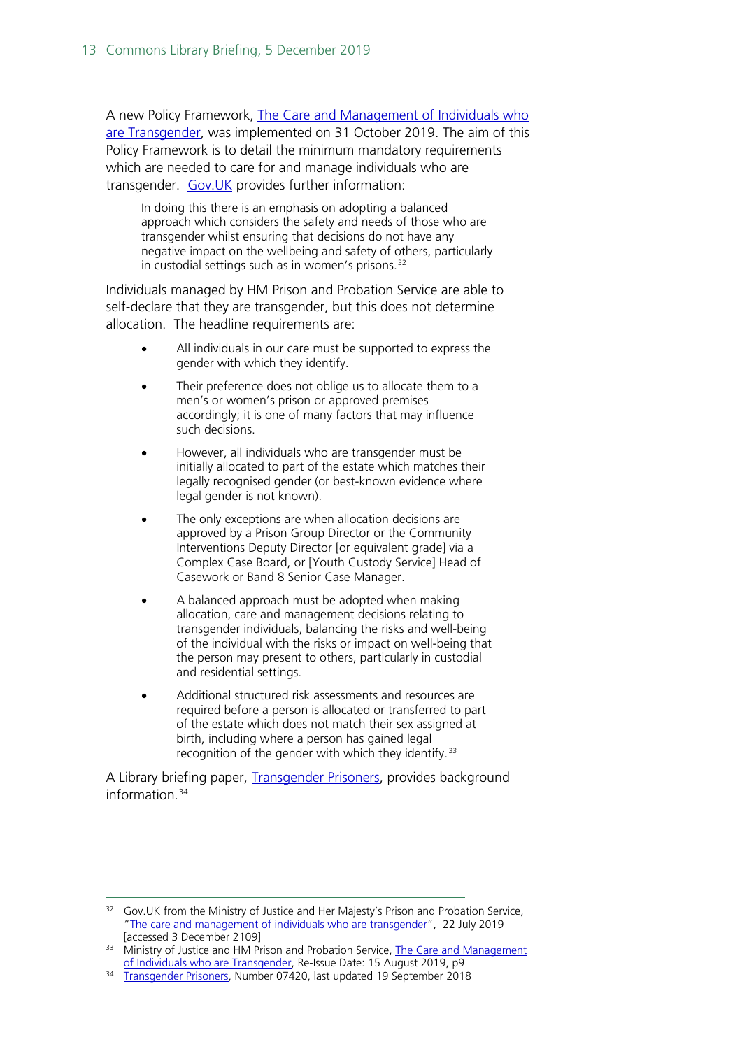A new Policy Framework, The Care and Management of Individuals who [are Transgender,](https://assets.publishing.service.gov.uk/government/uploads/system/uploads/attachment_data/file/825621/transgender-pf.pdf) was implemented on 31 October 2019. The aim of this Policy Framework is to detail the minimum mandatory requirements which are needed to care for and manage individuals who are transgender. [Gov.UK](https://www.gov.uk/government/publications/the-care-and-management-of-individuals-who-are-transgender) provides further information:

In doing this there is an emphasis on adopting a balanced approach which considers the safety and needs of those who are transgender whilst ensuring that decisions do not have any negative impact on the wellbeing and safety of others, particularly in custodial settings such as in women's prisons.<sup>[32](#page-12-0)</sup>

Individuals managed by HM Prison and Probation Service are able to self-declare that they are transgender, but this does not determine allocation. The headline requirements are:

- All individuals in our care must be supported to express the gender with which they identify.
- Their preference does not oblige us to allocate them to a men's or women's prison or approved premises accordingly; it is one of many factors that may influence such decisions.
- However, all individuals who are transgender must be initially allocated to part of the estate which matches their legally recognised gender (or best-known evidence where legal gender is not known).
- The only exceptions are when allocation decisions are approved by a Prison Group Director or the Community Interventions Deputy Director [or equivalent grade] via a Complex Case Board, or [Youth Custody Service] Head of Casework or Band 8 Senior Case Manager.
- A balanced approach must be adopted when making allocation, care and management decisions relating to transgender individuals, balancing the risks and well-being of the individual with the risks or impact on well-being that the person may present to others, particularly in custodial and residential settings.
- Additional structured risk assessments and resources are required before a person is allocated or transferred to part of the estate which does not match their sex assigned at birth, including where a person has gained legal recognition of the gender with which they identify.<sup>[33](#page-12-1)</sup>

A Library briefing paper, [Transgender Prisoners,](https://researchbriefings.parliament.uk/ResearchBriefing/Summary/CBP-7420) provides background information $34$ 

<span id="page-12-0"></span><sup>&</sup>lt;sup>32</sup> Gov.UK from the Ministry of Justice and Her Majesty's Prison and Probation Service, ["The care and management of individuals who are transgender"](https://www.gov.uk/government/publications/the-care-and-management-of-individuals-who-are-transgender), 22 July 2019 [accessed 3 December 2109]

<span id="page-12-1"></span><sup>&</sup>lt;sup>33</sup> Ministry of Justice and HM Prison and Probation Service, The Care and Management [of Individuals who are Transgender,](https://assets.publishing.service.gov.uk/government/uploads/system/uploads/attachment_data/file/825621/transgender-pf.pdf#page=9) Re-Issue Date: 15 August 2019, p9

<span id="page-12-2"></span><sup>34</sup> [Transgender Prisoners,](https://researchbriefings.parliament.uk/ResearchBriefing/Summary/CBP-7420) Number 07420, last updated 19 September 2018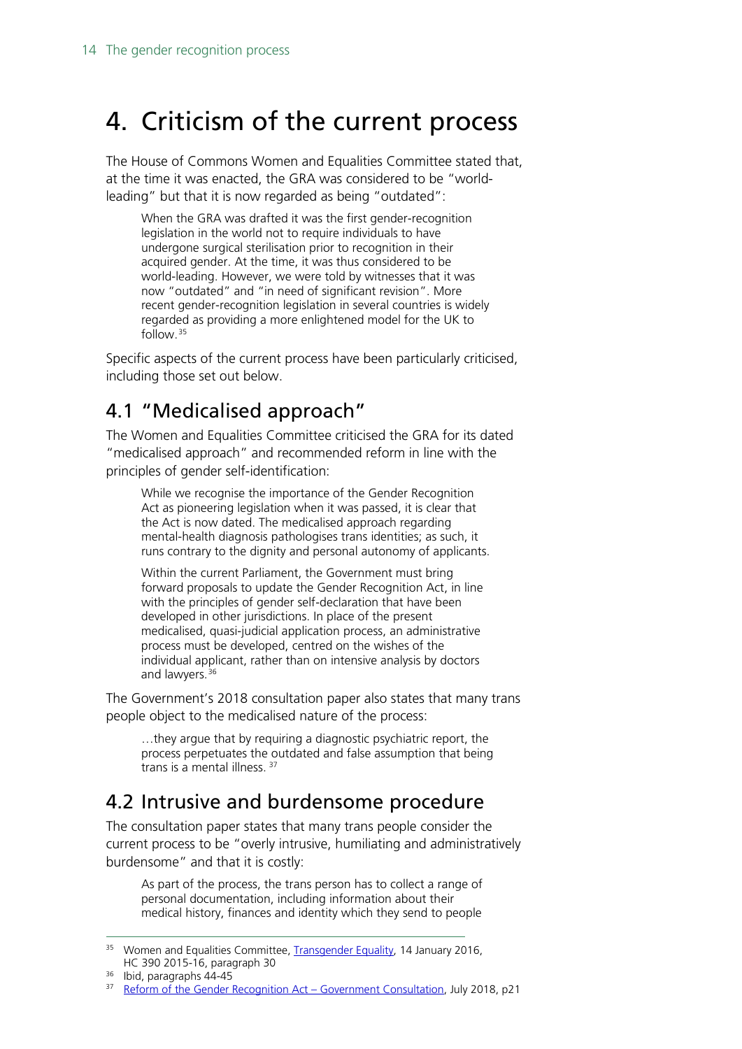# <span id="page-13-0"></span>4. Criticism of the current process

The House of Commons Women and Equalities Committee stated that, at the time it was enacted, the GRA was considered to be "worldleading" but that it is now regarded as being "outdated":

When the GRA was drafted it was the first gender-recognition legislation in the world not to require individuals to have undergone surgical sterilisation prior to recognition in their acquired gender. At the time, it was thus considered to be world-leading. However, we were told by witnesses that it was now "outdated" and "in need of significant revision". More recent gender-recognition legislation in several countries is widely regarded as providing a more enlightened model for the UK to follow.[35](#page-13-3)

Specific aspects of the current process have been particularly criticised, including those set out below.

## <span id="page-13-1"></span>4.1 "Medicalised approach"

The Women and Equalities Committee criticised the GRA for its dated "medicalised approach" and recommended reform in line with the principles of gender self-identification:

While we recognise the importance of the Gender Recognition Act as pioneering legislation when it was passed, it is clear that the Act is now dated. The medicalised approach regarding mental-health diagnosis pathologises trans identities; as such, it runs contrary to the dignity and personal autonomy of applicants.

Within the current Parliament, the Government must bring forward proposals to update the Gender Recognition Act, in line with the principles of gender self-declaration that have been developed in other jurisdictions. In place of the present medicalised, quasi-judicial application process, an administrative process must be developed, centred on the wishes of the individual applicant, rather than on intensive analysis by doctors and lawyers.<sup>[36](#page-13-4)</sup>

The Government's 2018 consultation paper also states that many trans people object to the medicalised nature of the process:

…they argue that by requiring a diagnostic psychiatric report, the process perpetuates the outdated and false assumption that being trans is a mental illness. [37](#page-13-5)

## <span id="page-13-2"></span>4.2 Intrusive and burdensome procedure

The consultation paper states that many trans people consider the current process to be "overly intrusive, humiliating and administratively burdensome" and that it is costly:

As part of the process, the trans person has to collect a range of personal documentation, including information about their medical history, finances and identity which they send to people

<span id="page-13-3"></span><sup>&</sup>lt;sup>35</sup> Women and Equalities Committee, [Transgender Equality,](https://publications.parliament.uk/pa/cm201516/cmselect/cmwomeq/390/390.pdf#page=13) 14 January 2016, HC 390 2015-16, paragraph 30

<span id="page-13-4"></span><sup>36</sup> Ibid, paragraphs 44-45

<span id="page-13-5"></span><sup>&</sup>lt;sup>37</sup> [Reform of the Gender Recognition Act –](https://assets.publishing.service.gov.uk/government/uploads/system/uploads/attachment_data/file/721725/GRA-Consultation-document.pdf#page=23) Government Consultation, July 2018, p21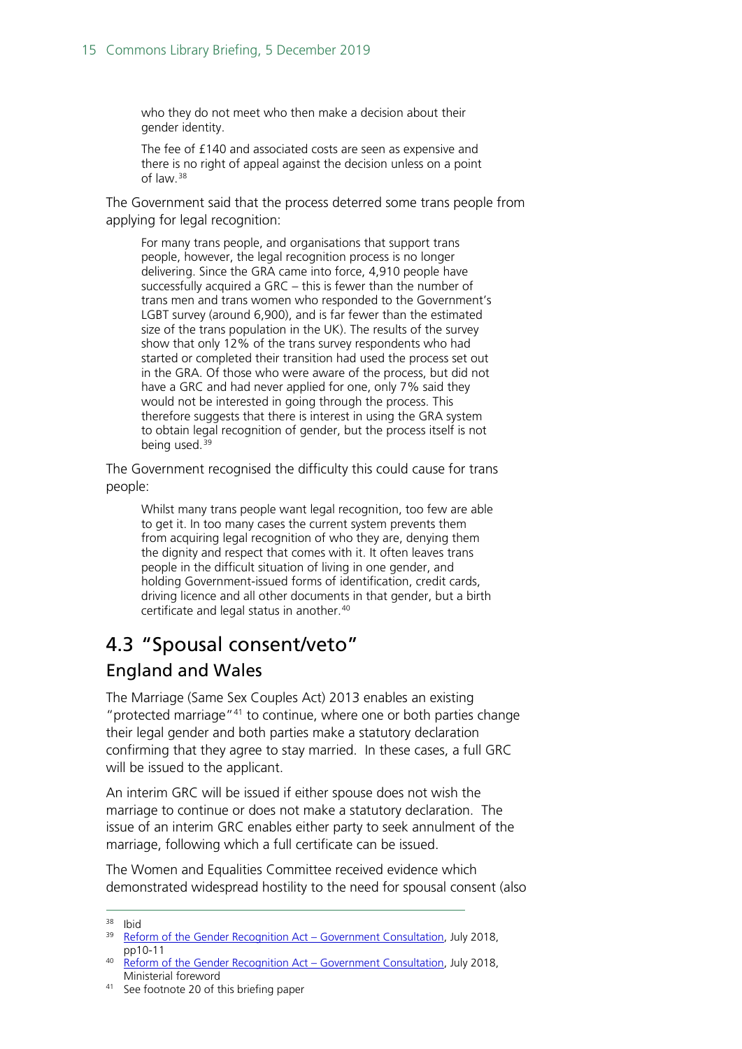who they do not meet who then make a decision about their gender identity.

The fee of £140 and associated costs are seen as expensive and there is no right of appeal against the decision unless on a point of law.[38](#page-14-1)

The Government said that the process deterred some trans people from applying for legal recognition:

For many trans people, and organisations that support trans people, however, the legal recognition process is no longer delivering. Since the GRA came into force, 4,910 people have successfully acquired a GRC – this is fewer than the number of trans men and trans women who responded to the Government's LGBT survey (around 6,900), and is far fewer than the estimated size of the trans population in the UK). The results of the survey show that only 12% of the trans survey respondents who had started or completed their transition had used the process set out in the GRA. Of those who were aware of the process, but did not have a GRC and had never applied for one, only 7% said they would not be interested in going through the process. This therefore suggests that there is interest in using the GRA system to obtain legal recognition of gender, but the process itself is not being used.<sup>[39](#page-14-2)</sup>

The Government recognised the difficulty this could cause for trans people:

Whilst many trans people want legal recognition, too few are able to get it. In too many cases the current system prevents them from acquiring legal recognition of who they are, denying them the dignity and respect that comes with it. It often leaves trans people in the difficult situation of living in one gender, and holding Government-issued forms of identification, credit cards, driving licence and all other documents in that gender, but a birth certificate and legal status in another.[40](#page-14-3)

## <span id="page-14-0"></span>4.3 "Spousal consent/veto"

## England and Wales

The Marriage (Same Sex Couples Act) 2013 enables an existing "protected marriage"[41](#page-14-4) to continue, where one or both parties change their legal gender and both parties make a statutory declaration confirming that they agree to stay married. In these cases, a full GRC will be issued to the applicant.

An interim GRC will be issued if either spouse does not wish the marriage to continue or does not make a statutory declaration. The issue of an interim GRC enables either party to seek annulment of the marriage, following which a full certificate can be issued.

The Women and Equalities Committee received evidence which demonstrated widespread hostility to the need for spousal consent (also

 <sup>38</sup> Ibid

<span id="page-14-2"></span><span id="page-14-1"></span><sup>&</sup>lt;sup>39</sup> [Reform of the Gender Recognition Act –](https://assets.publishing.service.gov.uk/government/uploads/system/uploads/attachment_data/file/721725/GRA-Consultation-document.pdf#page=12) Government Consultation, July 2018, pp10-11

<span id="page-14-3"></span><sup>&</sup>lt;sup>40</sup> [Reform of the Gender Recognition Act –](https://assets.publishing.service.gov.uk/government/uploads/system/uploads/attachment_data/file/721725/GRA-Consultation-document.pdf#page=4) Government Consultation, July 2018, Ministerial foreword

<span id="page-14-4"></span><sup>41</sup> See footnote 20 of this briefing paper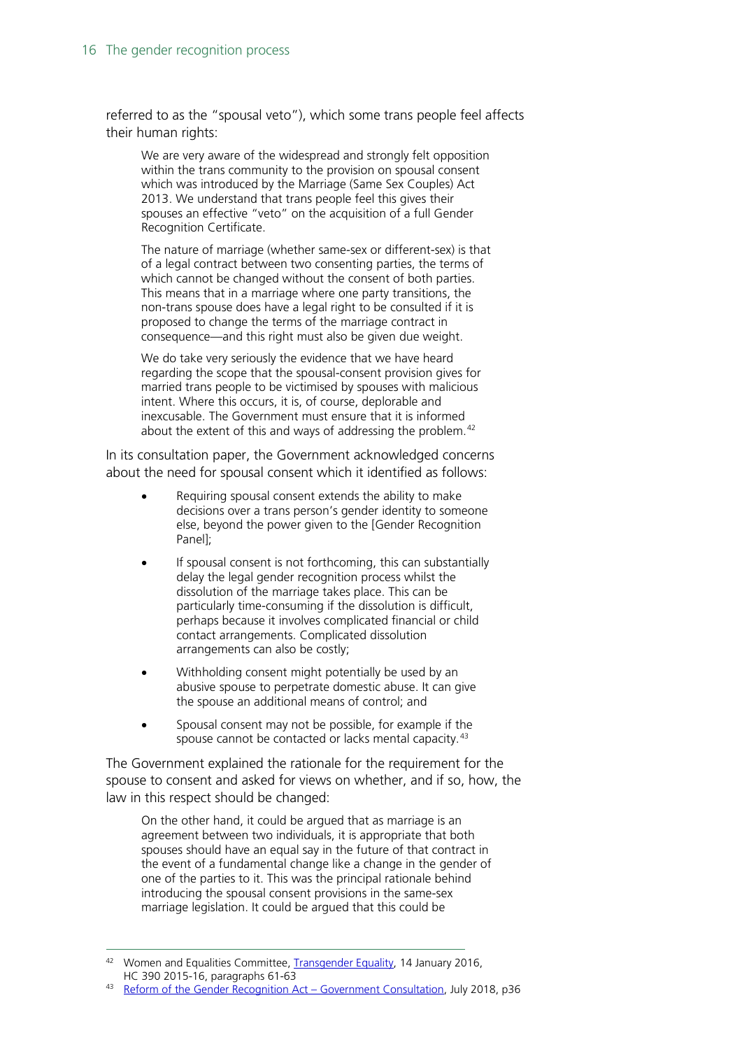referred to as the "spousal veto"), which some trans people feel affects their human rights:

We are very aware of the widespread and strongly felt opposition within the trans community to the provision on spousal consent which was introduced by the Marriage (Same Sex Couples) Act 2013. We understand that trans people feel this gives their spouses an effective "veto" on the acquisition of a full Gender Recognition Certificate.

The nature of marriage (whether same-sex or different-sex) is that of a legal contract between two consenting parties, the terms of which cannot be changed without the consent of both parties. This means that in a marriage where one party transitions, the non-trans spouse does have a legal right to be consulted if it is proposed to change the terms of the marriage contract in consequence—and this right must also be given due weight.

We do take very seriously the evidence that we have heard regarding the scope that the spousal-consent provision gives for married trans people to be victimised by spouses with malicious intent. Where this occurs, it is, of course, deplorable and inexcusable. The Government must ensure that it is informed about the extent of this and ways of addressing the problem. $42$ 

In its consultation paper, the Government acknowledged concerns about the need for spousal consent which it identified as follows:

- Requiring spousal consent extends the ability to make decisions over a trans person's gender identity to someone else, beyond the power given to the [Gender Recognition Panel];
- If spousal consent is not forthcoming, this can substantially delay the legal gender recognition process whilst the dissolution of the marriage takes place. This can be particularly time-consuming if the dissolution is difficult, perhaps because it involves complicated financial or child contact arrangements. Complicated dissolution arrangements can also be costly;
- Withholding consent might potentially be used by an abusive spouse to perpetrate domestic abuse. It can give the spouse an additional means of control; and
- Spousal consent may not be possible, for example if the spouse cannot be contacted or lacks mental capacity.<sup>[43](#page-15-1)</sup>

The Government explained the rationale for the requirement for the spouse to consent and asked for views on whether, and if so, how, the law in this respect should be changed:

On the other hand, it could be argued that as marriage is an agreement between two individuals, it is appropriate that both spouses should have an equal say in the future of that contract in the event of a fundamental change like a change in the gender of one of the parties to it. This was the principal rationale behind introducing the spousal consent provisions in the same-sex marriage legislation. It could be argued that this could be

<span id="page-15-0"></span><sup>&</sup>lt;sup>42</sup> Women and Equalities Committee, [Transgender Equality,](https://publications.parliament.uk/pa/cm201516/cmselect/cmwomeq/390/390.pdf#page=19) 14 January 2016, HC 390 2015-16, paragraphs 61-63

<span id="page-15-1"></span><sup>43</sup> [Reform of the Gender Recognition Act –](https://assets.publishing.service.gov.uk/government/uploads/system/uploads/attachment_data/file/721725/GRA-Consultation-document.pdf#page=38) Government Consultation, July 2018, p36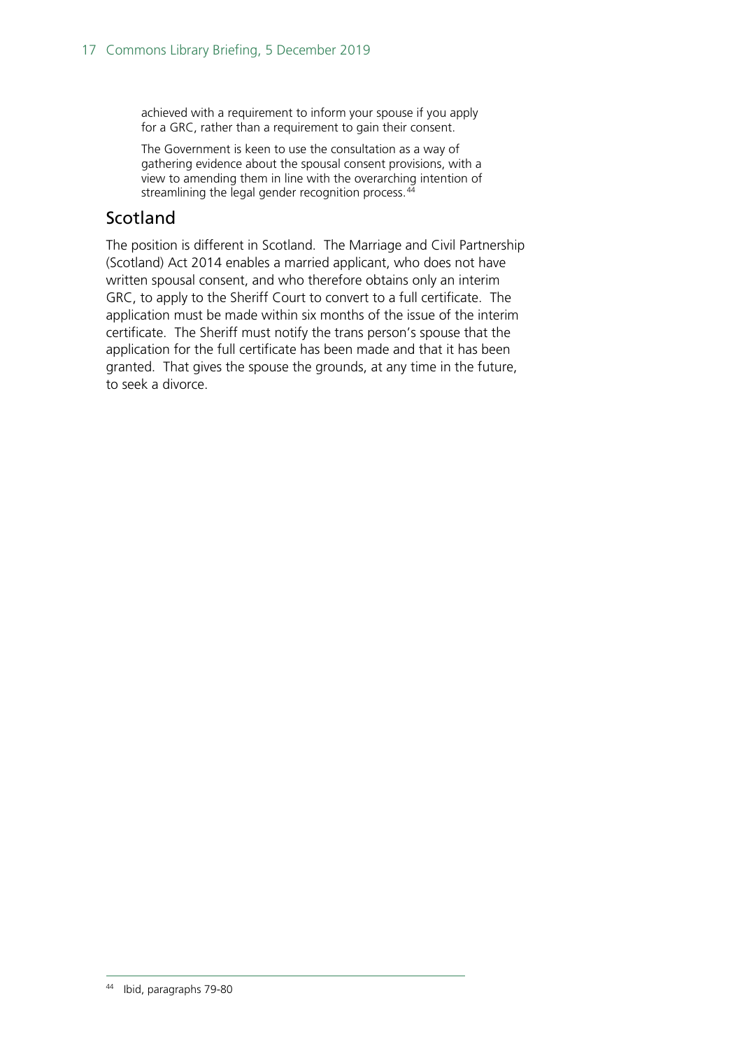achieved with a requirement to inform your spouse if you apply for a GRC, rather than a requirement to gain their consent.

The Government is keen to use the consultation as a way of gathering evidence about the spousal consent provisions, with a view to amending them in line with the overarching intention of streamlining the legal gender recognition process.<sup>[44](#page-16-0)</sup>

### Scotland

<span id="page-16-0"></span>The position is different in Scotland. The Marriage and Civil Partnership (Scotland) Act 2014 enables a married applicant, who does not have written spousal consent, and who therefore obtains only an interim GRC, to apply to the Sheriff Court to convert to a full certificate. The application must be made within six months of the issue of the interim certificate. The Sheriff must notify the trans person's spouse that the application for the full certificate has been made and that it has been granted. That gives the spouse the grounds, at any time in the future, to seek a divorce.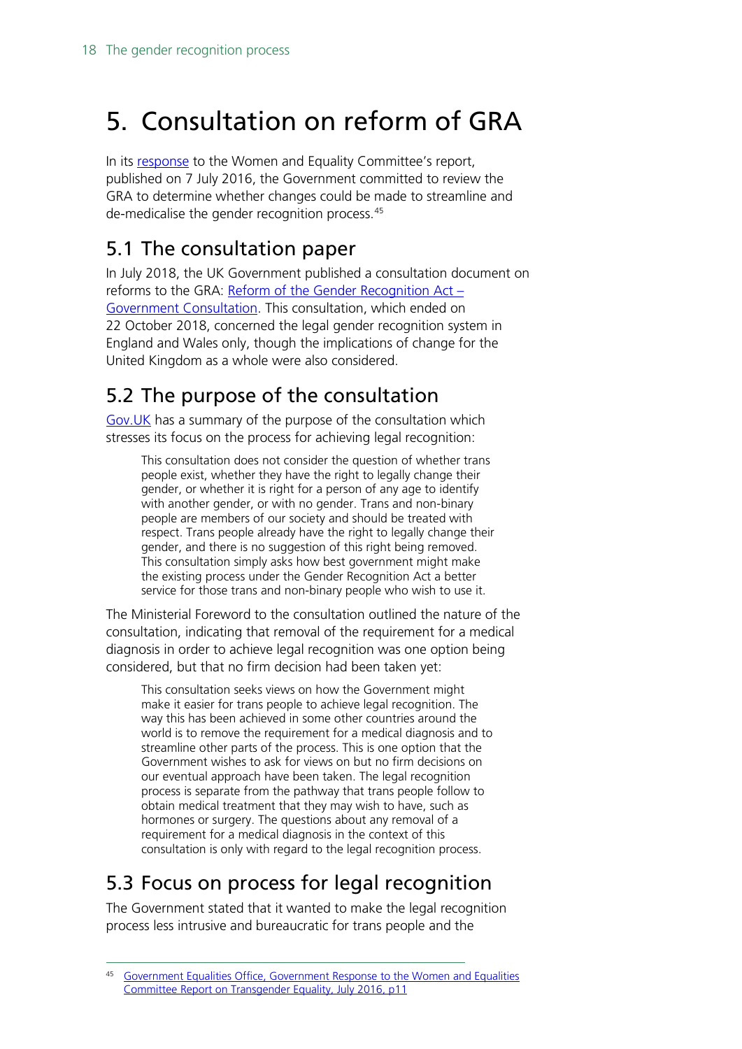# <span id="page-17-0"></span>5. Consultation on reform of GRA

In its [response](https://assets.publishing.service.gov.uk/government/uploads/system/uploads/attachment_data/file/535764/Government_Response_to_the_Women_and_Equalities_Committee_Report_on_Transgender_Equality.pdf) to the Women and Equality Committee's report, published on 7 July 2016, the Government committed to review the GRA to determine whether changes could be made to streamline and de-medicalise the gender recognition process.[45](#page-17-4)

## <span id="page-17-1"></span>5.1 The consultation paper

In July 2018, the UK Government published a consultation document on reforms to the GRA:  $Reform$  of the Gender Recognition Act  $-$ [Government Consultation.](https://assets.publishing.service.gov.uk/government/uploads/system/uploads/attachment_data/file/721725/GRA-Consultation-document.pdf) This consultation, which ended on 22 October 2018, concerned the legal gender recognition system in England and Wales only, though the implications of change for the United Kingdom as a whole were also considered.

## <span id="page-17-2"></span>5.2 The purpose of the consultation

[Gov.UK](https://www.gov.uk/government/consultations/reform-of-the-gender-recognition-act-2004) has a summary of the purpose of the consultation which stresses its focus on the process for achieving legal recognition:

This consultation does not consider the question of whether trans people exist, whether they have the right to legally change their gender, or whether it is right for a person of any age to identify with another gender, or with no gender. Trans and non-binary people are members of our society and should be treated with respect. Trans people already have the right to legally change their gender, and there is no suggestion of this right being removed. This consultation simply asks how best government might make the existing process under the Gender Recognition Act a better service for those trans and non-binary people who wish to use it.

The Ministerial Foreword to the consultation outlined the nature of the consultation, indicating that removal of the requirement for a medical diagnosis in order to achieve legal recognition was one option being considered, but that no firm decision had been taken yet:

This consultation seeks views on how the Government might make it easier for trans people to achieve legal recognition. The way this has been achieved in some other countries around the world is to remove the requirement for a medical diagnosis and to streamline other parts of the process. This is one option that the Government wishes to ask for views on but no firm decisions on our eventual approach have been taken. The legal recognition process is separate from the pathway that trans people follow to obtain medical treatment that they may wish to have, such as hormones or surgery. The questions about any removal of a requirement for a medical diagnosis in the context of this consultation is only with regard to the legal recognition process.

# <span id="page-17-3"></span>5.3 Focus on process for legal recognition

The Government stated that it wanted to make the legal recognition process less intrusive and bureaucratic for trans people and the

<span id="page-17-4"></span> <sup>45</sup> [Government Equalities Office, Government Response to the Women and Equalities](https://assets.publishing.service.gov.uk/government/uploads/system/uploads/attachment_data/file/535764/Government_Response_to_the_Women_and_Equalities_Committee_Report_on_Transgender_Equality.pdf#page=12)  [Committee Report on Transgender Equality, July 2016, p11](https://assets.publishing.service.gov.uk/government/uploads/system/uploads/attachment_data/file/535764/Government_Response_to_the_Women_and_Equalities_Committee_Report_on_Transgender_Equality.pdf#page=12)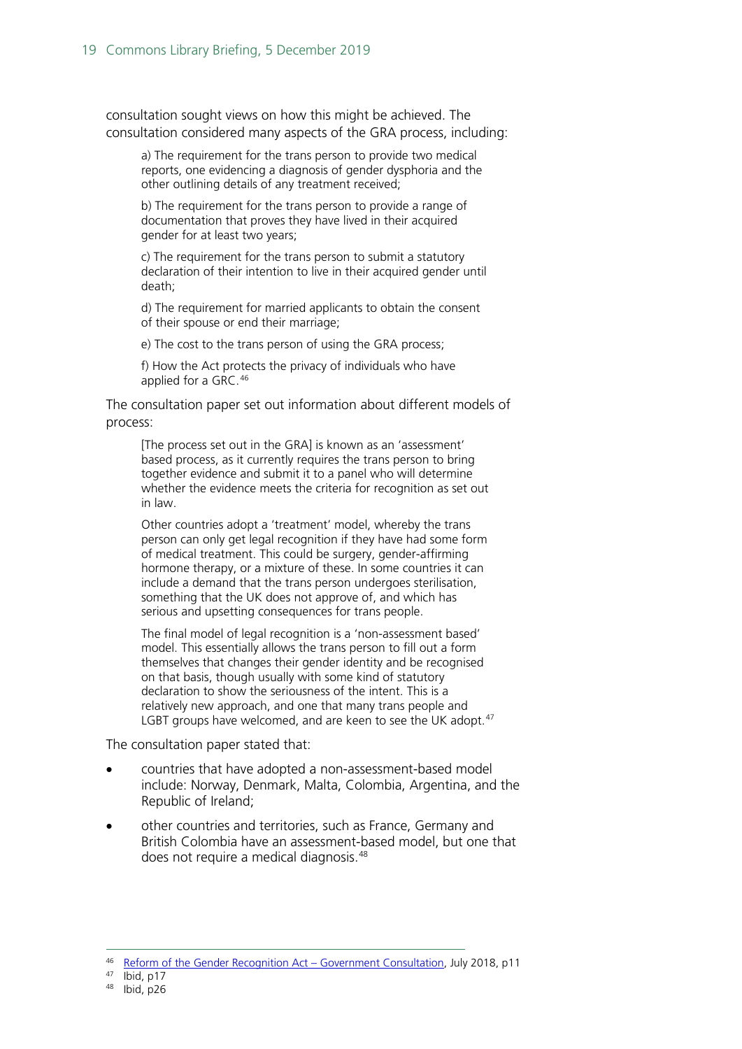consultation sought views on how this might be achieved. The consultation considered many aspects of the GRA process, including:

a) The requirement for the trans person to provide two medical reports, one evidencing a diagnosis of gender dysphoria and the other outlining details of any treatment received;

b) The requirement for the trans person to provide a range of documentation that proves they have lived in their acquired gender for at least two years;

c) The requirement for the trans person to submit a statutory declaration of their intention to live in their acquired gender until death;

d) The requirement for married applicants to obtain the consent of their spouse or end their marriage;

e) The cost to the trans person of using the GRA process;

f) How the Act protects the privacy of individuals who have applied for a GRC.[46](#page-18-0)

The consultation paper set out information about different models of process:

[The process set out in the GRA] is known as an 'assessment' based process, as it currently requires the trans person to bring together evidence and submit it to a panel who will determine whether the evidence meets the criteria for recognition as set out in law.

Other countries adopt a 'treatment' model, whereby the trans person can only get legal recognition if they have had some form of medical treatment. This could be surgery, gender-affirming hormone therapy, or a mixture of these. In some countries it can include a demand that the trans person undergoes sterilisation, something that the UK does not approve of, and which has serious and upsetting consequences for trans people.

The final model of legal recognition is a 'non-assessment based' model. This essentially allows the trans person to fill out a form themselves that changes their gender identity and be recognised on that basis, though usually with some kind of statutory declaration to show the seriousness of the intent. This is a relatively new approach, and one that many trans people and LGBT groups have welcomed, and are keen to see the UK adopt.<sup>[47](#page-18-1)</sup>

The consultation paper stated that:

- countries that have adopted a non-assessment-based model include: Norway, Denmark, Malta, Colombia, Argentina, and the Republic of Ireland;
- other countries and territories, such as France, Germany and British Colombia have an assessment-based model, but one that does not require a medical diagnosis.<sup>[48](#page-18-2)</sup>

<span id="page-18-2"></span><span id="page-18-1"></span> $47$  Ibid, p17

<span id="page-18-0"></span><sup>46</sup> Reform of the Gender Recognition Act - Government Consultation, July 2018, p11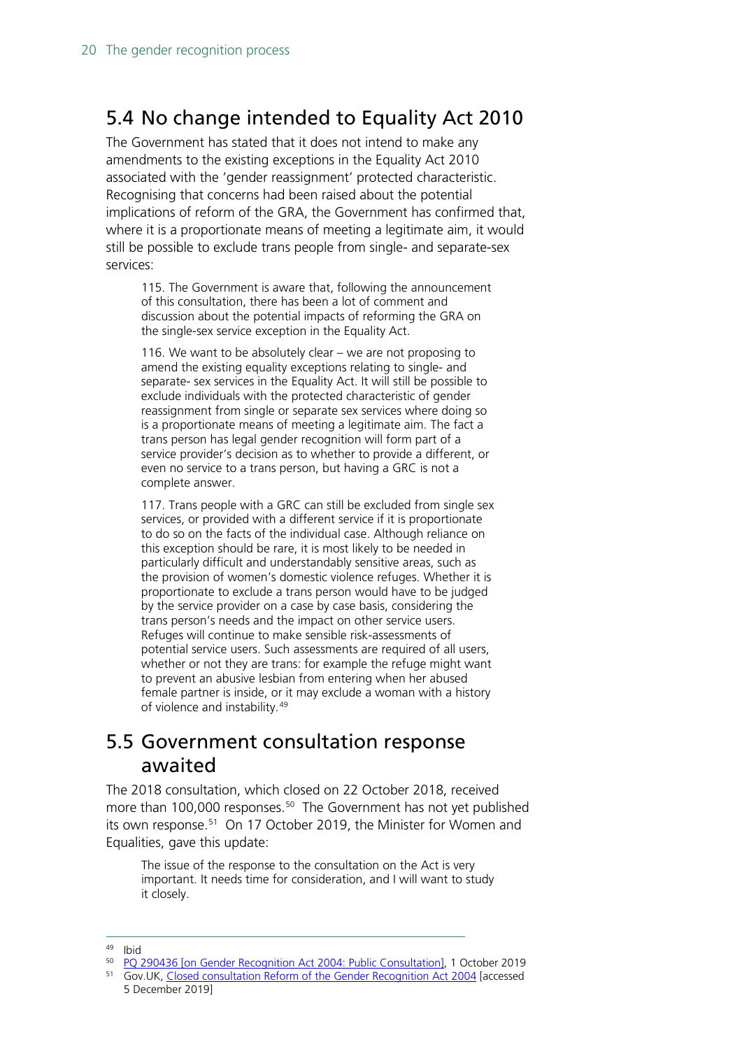## <span id="page-19-0"></span>5.4 No change intended to Equality Act 2010

The Government has stated that it does not intend to make any amendments to the existing exceptions in the Equality Act 2010 associated with the 'gender reassignment' protected characteristic. Recognising that concerns had been raised about the potential implications of reform of the GRA, the Government has confirmed that, where it is a proportionate means of meeting a legitimate aim, it would still be possible to exclude trans people from single- and separate-sex services:

115. The Government is aware that, following the announcement of this consultation, there has been a lot of comment and discussion about the potential impacts of reforming the GRA on the single-sex service exception in the Equality Act.

116. We want to be absolutely clear – we are not proposing to amend the existing equality exceptions relating to single- and separate- sex services in the Equality Act. It will still be possible to exclude individuals with the protected characteristic of gender reassignment from single or separate sex services where doing so is a proportionate means of meeting a legitimate aim. The fact a trans person has legal gender recognition will form part of a service provider's decision as to whether to provide a different, or even no service to a trans person, but having a GRC is not a complete answer.

117. Trans people with a GRC can still be excluded from single sex services, or provided with a different service if it is proportionate to do so on the facts of the individual case. Although reliance on this exception should be rare, it is most likely to be needed in particularly difficult and understandably sensitive areas, such as the provision of women's domestic violence refuges. Whether it is proportionate to exclude a trans person would have to be judged by the service provider on a case by case basis, considering the trans person's needs and the impact on other service users. Refuges will continue to make sensible risk-assessments of potential service users. Such assessments are required of all users, whether or not they are trans: for example the refuge might want to prevent an abusive lesbian from entering when her abused female partner is inside, or it may exclude a woman with a history of violence and instability.[49](#page-19-2)

## <span id="page-19-1"></span>5.5 Government consultation response awaited

The 2018 consultation, which closed on 22 October 2018, received more than 100,000 responses.<sup>50</sup> The Government has not yet published its own response.<sup>51</sup> On 17 October 2019, the Minister for Women and Equalities, gave this update:

The issue of the response to the consultation on the Act is very important. It needs time for consideration, and I will want to study it closely.

<span id="page-19-4"></span><span id="page-19-3"></span>51 Gov.UK, [Closed consultation Reform of the Gender Recognition Act 2004](https://www.gov.uk/government/consultations/reform-of-the-gender-recognition-act-2004) [accessed 5 December 2019]

<span id="page-19-2"></span><sup>&</sup>lt;sup>49</sup> Ibid<br><sup>50</sup> PQ 290436 [on Gender Recognition Act 2004: Public Consultation], 1 October 2019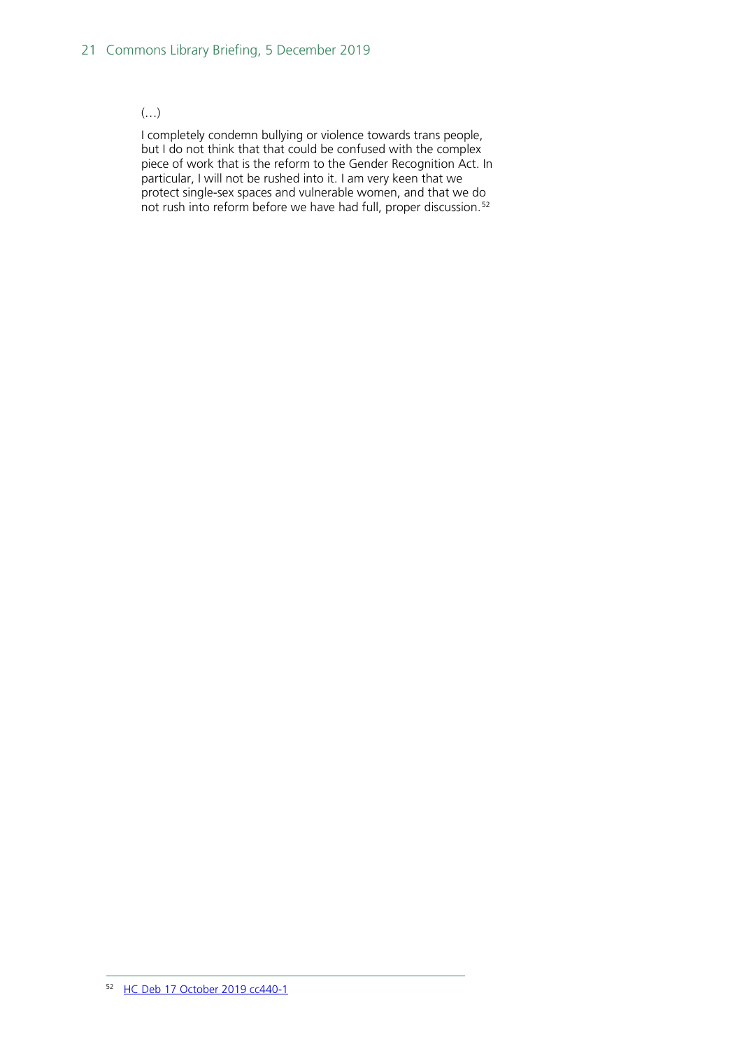#### $\left(\ldots\right)$

<span id="page-20-0"></span>I completely condemn bullying or violence towards trans people, but I do not think that that could be confused with the complex piece of work that is the reform to the Gender Recognition Act. In particular, I will not be rushed into it. I am very keen that we protect single-sex spaces and vulnerable women, and that we do not rush into reform before we have had full, proper discussion.<sup>[52](#page-20-0)</sup>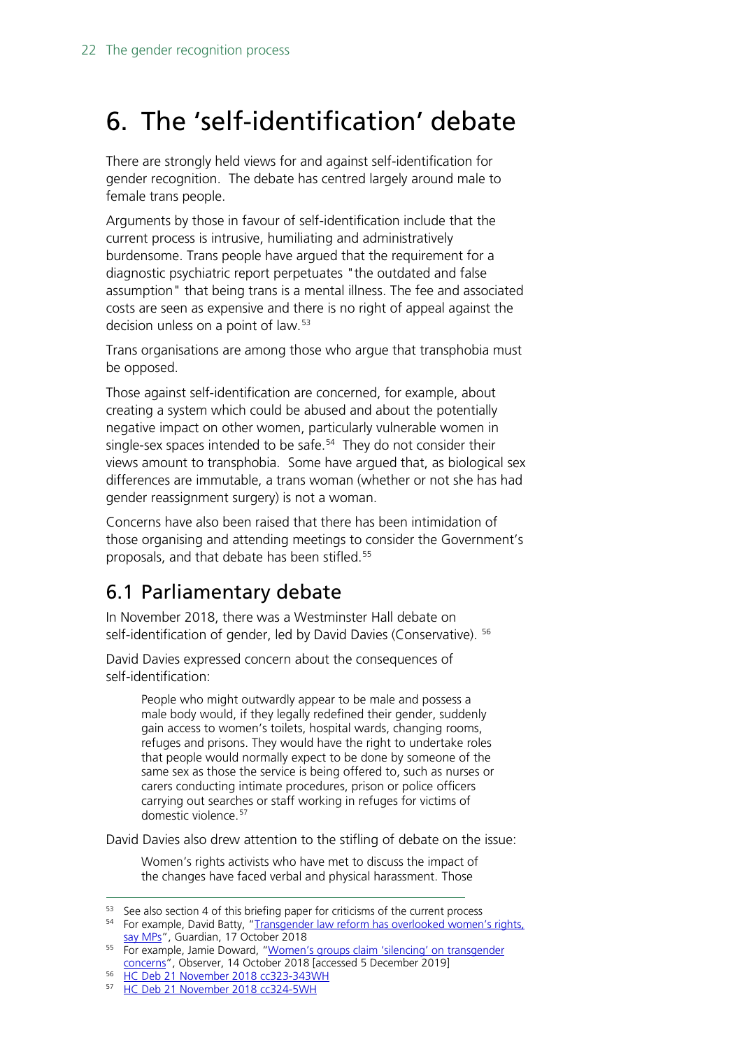# <span id="page-21-0"></span>6. The 'self-identification' debate

There are strongly held views for and against self-identification for gender recognition. The debate has centred largely around male to female trans people.

Arguments by those in favour of self-identification include that the current process is intrusive, humiliating and administratively burdensome. Trans people have argued that the requirement for a diagnostic psychiatric report perpetuates "the outdated and false assumption" that being trans is a mental illness. The fee and associated costs are seen as expensive and there is no right of appeal against the decision unless on a point of law.<sup>[53](#page-21-2)</sup>

Trans organisations are among those who argue that transphobia must be opposed.

Those against self-identification are concerned, for example, about creating a system which could be abused and about the potentially negative impact on other women, particularly vulnerable women in single-sex spaces intended to be safe. $54$  They do not consider their views amount to transphobia. Some have argued that, as biological sex differences are immutable, a trans woman (whether or not she has had gender reassignment surgery) is not a woman.

Concerns have also been raised that there has been intimidation of those organising and attending meetings to consider the Government's proposals, and that debate has been stifled.<sup>[55](#page-21-4)</sup>

## <span id="page-21-1"></span>6.1 Parliamentary debate

In November 2018, there was a Westminster Hall debate on self-identification of gender, led by David Davies (Conservative). <sup>[56](#page-21-5)</sup>

David Davies expressed concern about the consequences of self-identification:

> People who might outwardly appear to be male and possess a male body would, if they legally redefined their gender, suddenly gain access to women's toilets, hospital wards, changing rooms, refuges and prisons. They would have the right to undertake roles that people would normally expect to be done by someone of the same sex as those the service is being offered to, such as nurses or carers conducting intimate procedures, prison or police officers carrying out searches or staff working in refuges for victims of domestic violence.<sup>[57](#page-21-6)</sup>

David Davies also drew attention to the stifling of debate on the issue:

Women's rights activists who have met to discuss the impact of the changes have faced verbal and physical harassment. Those

<span id="page-21-3"></span><span id="page-21-2"></span><sup>53</sup> See also section 4 of this briefing paper for criticisms of the current process  $54$  For example, David Batty, "Transgender law reform has overlooked women's rights, [say MPs"](https://www.theguardian.com/society/2018/oct/17/transgender-law-reform-has-overlooked-womens-rights-say-mps), Guardian, 17 October 2018

<span id="page-21-4"></span><sup>55</sup> For example, Jamie Doward, ["Women's groups claim 'silencing' on transgender](https://www.theguardian.com/society/2018/oct/14/women-claim-intimidation-silencing-gender-recognition-act-debate)  [concerns"](https://www.theguardian.com/society/2018/oct/14/women-claim-intimidation-silencing-gender-recognition-act-debate), Observer, 14 October 2018 [accessed 5 December 2019]

<span id="page-21-5"></span><sup>56</sup> [HC Deb 21 November 2018 cc323-343WH](https://hansard.parliament.uk/Commons/2018-11-21/debates/BE06C5D4-E549-4F94-87B1-9B77F32EA155/Self-IdentificationOfGender#contribution-AC5B7230-57D5-4C70-8B95-B6DC80CF85D7)

<span id="page-21-6"></span><sup>57</sup> [HC Deb 21 November 2018 cc324-5WH](https://hansard.parliament.uk/Commons/2018-11-21/debates/BE06C5D4-E549-4F94-87B1-9B77F32EA155/Self-IdentificationOfGender#contribution-AC5B7230-57D5-4C70-8B95-B6DC80CF85D7)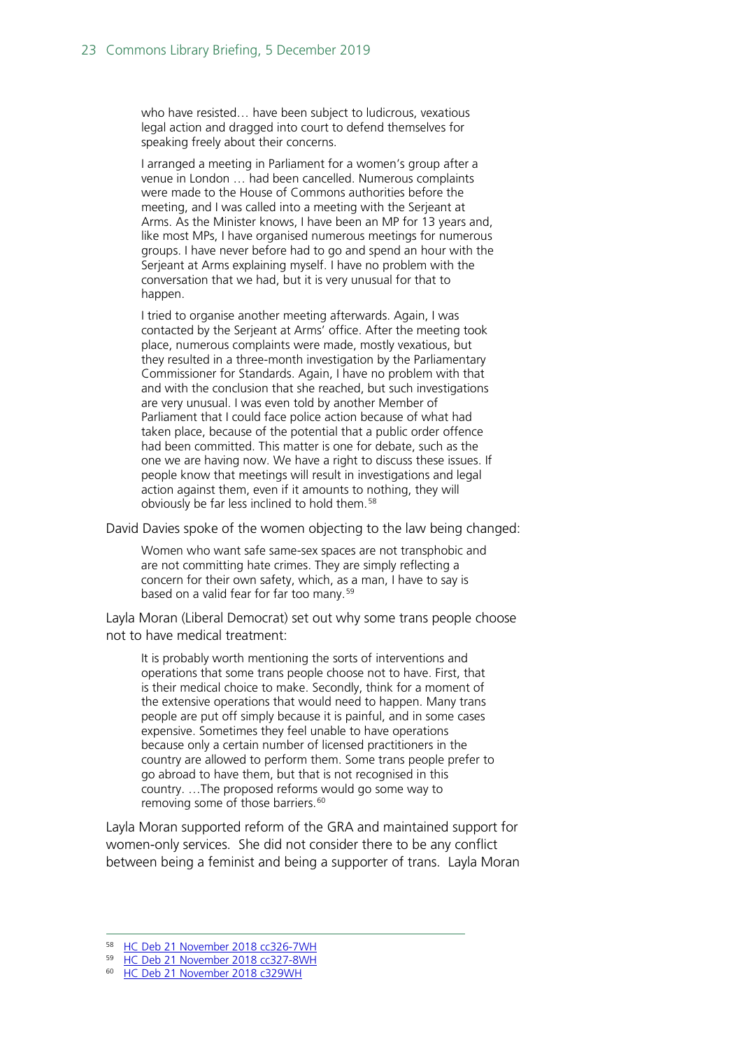who have resisted… have been subject to ludicrous, vexatious legal action and dragged into court to defend themselves for speaking freely about their concerns.

I arranged a meeting in Parliament for a women's group after a venue in London … had been cancelled. Numerous complaints were made to the House of Commons authorities before the meeting, and I was called into a meeting with the Serjeant at Arms. As the Minister knows, I have been an MP for 13 years and, like most MPs, I have organised numerous meetings for numerous groups. I have never before had to go and spend an hour with the Serjeant at Arms explaining myself. I have no problem with the conversation that we had, but it is very unusual for that to happen.

I tried to organise another meeting afterwards. Again, I was contacted by the Serjeant at Arms' office. After the meeting took place, numerous complaints were made, mostly vexatious, but they resulted in a three-month investigation by the Parliamentary Commissioner for Standards. Again, I have no problem with that and with the conclusion that she reached, but such investigations are very unusual. I was even told by another Member of Parliament that I could face police action because of what had taken place, because of the potential that a public order offence had been committed. This matter is one for debate, such as the one we are having now. We have a right to discuss these issues. If people know that meetings will result in investigations and legal action against them, even if it amounts to nothing, they will obviously be far less inclined to hold them.<sup>[58](#page-22-0)</sup>

David Davies spoke of the women objecting to the law being changed:

Women who want safe same-sex spaces are not transphobic and are not committing hate crimes. They are simply reflecting a concern for their own safety, which, as a man, I have to say is based on a valid fear for far too many.<sup>[59](#page-22-1)</sup>

Layla Moran (Liberal Democrat) set out why some trans people choose not to have medical treatment:

It is probably worth mentioning the sorts of interventions and operations that some trans people choose not to have. First, that is their medical choice to make. Secondly, think for a moment of the extensive operations that would need to happen. Many trans people are put off simply because it is painful, and in some cases expensive. Sometimes they feel unable to have operations because only a certain number of licensed practitioners in the country are allowed to perform them. Some trans people prefer to go abroad to have them, but that is not recognised in this country. …The proposed reforms would go some way to removing some of those barriers.<sup>[60](#page-22-2)</sup>

Layla Moran supported reform of the GRA and maintained support for women-only services. She did not consider there to be any conflict between being a feminist and being a supporter of trans. Layla Moran

<span id="page-22-0"></span><sup>58</sup> [HC Deb 21 November 2018 cc326-7WH](https://hansard.parliament.uk/Commons/2018-11-21/debates/BE06C5D4-E549-4F94-87B1-9B77F32EA155/Self-IdentificationOfGender#contribution-AC5B7230-57D5-4C70-8B95-B6DC80CF85D7)

<span id="page-22-1"></span><sup>59</sup> [HC Deb 21 November 2018 cc327-8WH](https://hansard.parliament.uk/Commons/2018-11-21/debates/BE06C5D4-E549-4F94-87B1-9B77F32EA155/Self-IdentificationOfGender#contribution-AC5B7230-57D5-4C70-8B95-B6DC80CF85D7)

<span id="page-22-2"></span><sup>60</sup> [HC Deb 21 November 2018 c329WH](https://hansard.parliament.uk/Commons/2018-11-21/debates/BE06C5D4-E549-4F94-87B1-9B77F32EA155/Self-IdentificationOfGender#contribution-AC5B7230-57D5-4C70-8B95-B6DC80CF85D7)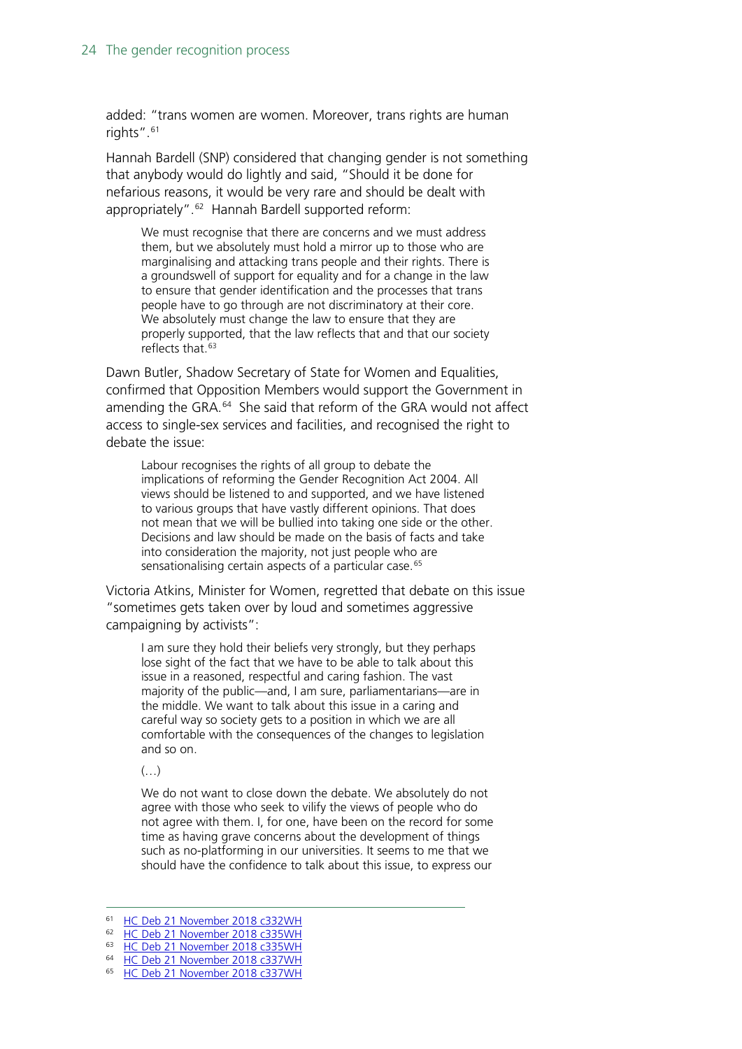added: "trans women are women. Moreover, trans rights are human rights". [61](#page-23-0)

Hannah Bardell (SNP) considered that changing gender is not something that anybody would do lightly and said, "Should it be done for nefarious reasons, it would be very rare and should be dealt with appropriately". [62](#page-23-1) Hannah Bardell supported reform:

We must recognise that there are concerns and we must address them, but we absolutely must hold a mirror up to those who are marginalising and attacking trans people and their rights. There is a groundswell of support for equality and for a change in the law to ensure that gender identification and the processes that trans people have to go through are not discriminatory at their core. We absolutely must change the law to ensure that they are properly supported, that the law reflects that and that our society reflects that.<sup>[63](#page-23-2)</sup>

Dawn Butler, Shadow Secretary of State for Women and Equalities, confirmed that Opposition Members would support the Government in amending the GRA.<sup>64</sup> She said that reform of the GRA would not affect access to single-sex services and facilities, and recognised the right to debate the issue:

Labour recognises the rights of all group to debate the implications of reforming the Gender Recognition Act 2004. All views should be listened to and supported, and we have listened to various groups that have vastly different opinions. That does not mean that we will be bullied into taking one side or the other. Decisions and law should be made on the basis of facts and take into consideration the majority, not just people who are sensationalising certain aspects of a particular case.<sup>[65](#page-23-4)</sup>

Victoria Atkins, Minister for Women, regretted that debate on this issue "sometimes gets taken over by loud and sometimes aggressive campaigning by activists":

I am sure they hold their beliefs very strongly, but they perhaps lose sight of the fact that we have to be able to talk about this issue in a reasoned, respectful and caring fashion. The vast majority of the public—and, I am sure, parliamentarians—are in the middle. We want to talk about this issue in a caring and careful way so society gets to a position in which we are all comfortable with the consequences of the changes to legislation and so on.

 $\left(\ldots\right)$ 

We do not want to close down the debate. We absolutely do not agree with those who seek to vilify the views of people who do not agree with them. I, for one, have been on the record for some time as having grave concerns about the development of things such as no-platforming in our universities. It seems to me that we should have the confidence to talk about this issue, to express our

 <sup>61</sup> [HC Deb 21 November 2018 c332WH](https://hansard.parliament.uk/Commons/2018-11-21/debates/BE06C5D4-E549-4F94-87B1-9B77F32EA155/Self-IdentificationOfGender#contribution-AC5B7230-57D5-4C70-8B95-B6DC80CF85D7)

<span id="page-23-1"></span><span id="page-23-0"></span><sup>62</sup> [HC Deb 21 November 2018 c335WH](https://hansard.parliament.uk/Commons/2018-11-21/debates/BE06C5D4-E549-4F94-87B1-9B77F32EA155/Self-IdentificationOfGender#contribution-AC5B7230-57D5-4C70-8B95-B6DC80CF85D7)

<span id="page-23-3"></span><span id="page-23-2"></span><sup>63</sup> [HC Deb 21 November 2018 c335WH](https://hansard.parliament.uk/Commons/2018-11-21/debates/BE06C5D4-E549-4F94-87B1-9B77F32EA155/Self-IdentificationOfGender#contribution-AC5B7230-57D5-4C70-8B95-B6DC80CF85D7)

<sup>64</sup> [HC Deb 21 November 2018 c337WH](https://hansard.parliament.uk/Commons/2018-11-21/debates/BE06C5D4-E549-4F94-87B1-9B77F32EA155/Self-IdentificationOfGender#contribution-AC5B7230-57D5-4C70-8B95-B6DC80CF85D7)

<span id="page-23-4"></span><sup>65</sup> [HC Deb 21 November 2018 c337WH](https://hansard.parliament.uk/Commons/2018-11-21/debates/BE06C5D4-E549-4F94-87B1-9B77F32EA155/Self-IdentificationOfGender#contribution-AC5B7230-57D5-4C70-8B95-B6DC80CF85D7)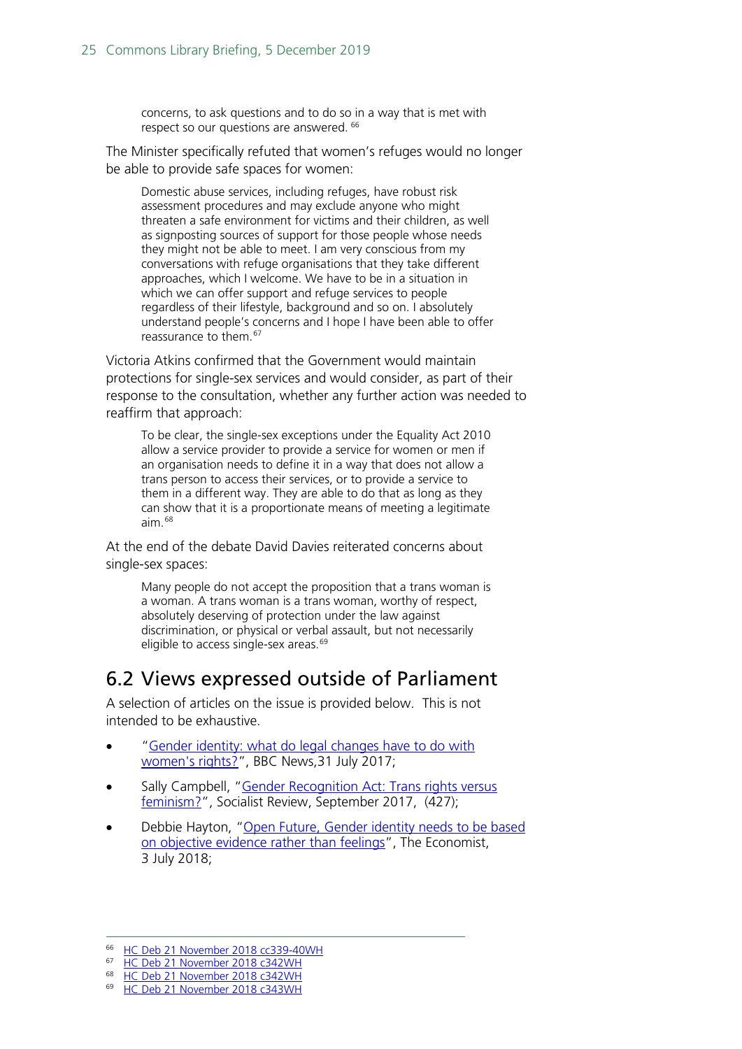concerns, to ask questions and to do so in a way that is met with respect so our questions are answered. [66](#page-24-1)

The Minister specifically refuted that women's refuges would no longer be able to provide safe spaces for women:

Domestic abuse services, including refuges, have robust risk assessment procedures and may exclude anyone who might threaten a safe environment for victims and their children, as well as signposting sources of support for those people whose needs they might not be able to meet. I am very conscious from my conversations with refuge organisations that they take different approaches, which I welcome. We have to be in a situation in which we can offer support and refuge services to people regardless of their lifestyle, background and so on. I absolutely understand people's concerns and I hope I have been able to offer reassurance to them.[67](#page-24-2)

Victoria Atkins confirmed that the Government would maintain protections for single-sex services and would consider, as part of their response to the consultation, whether any further action was needed to reaffirm that approach:

To be clear, the single-sex exceptions under the Equality Act 2010 allow a service provider to provide a service for women or men if an organisation needs to define it in a way that does not allow a trans person to access their services, or to provide a service to them in a different way. They are able to do that as long as they can show that it is a proportionate means of meeting a legitimate aim.[68](#page-24-3)

At the end of the debate David Davies reiterated concerns about single-sex spaces:

Many people do not accept the proposition that a trans woman is a woman. A trans woman is a trans woman, worthy of respect, absolutely deserving of protection under the law against discrimination, or physical or verbal assault, but not necessarily eligible to access single-sex areas.<sup>[69](#page-24-4)</sup>

## <span id="page-24-0"></span>6.2 Views expressed outside of Parliament

A selection of articles on the issue is provided below. This is not intended to be exhaustive.

- ["Gender identity: what do legal changes have to do with](https://www.bbc.co.uk/news/uk-40713645)  [women's rights?"](https://www.bbc.co.uk/news/uk-40713645), BBC News,31 July 2017;
- Sally Campbell, "Gender Recognition Act: Trans rights versus [feminism?"](http://socialistreview.org.uk/427/gender-recognition-act-trans-rights-versus-feminism), Socialist Review, September 2017, (427);
- Debbie Hayton, ["Open Future, Gender identity needs to be based](https://www.economist.com/open-future/2018/07/03/gender-identity-needs-to-be-based-on-objective-evidence-rather-than-feelings)  [on objective evidence rather than feelings"](https://www.economist.com/open-future/2018/07/03/gender-identity-needs-to-be-based-on-objective-evidence-rather-than-feelings), The Economist, 3 July 2018;

<span id="page-24-1"></span><sup>&</sup>lt;sup>66</sup> [HC Deb 21 November 2018 cc339-40WH](https://hansard.parliament.uk/Commons/2018-11-21/debates/BE06C5D4-E549-4F94-87B1-9B77F32EA155/Self-IdentificationOfGender#contribution-AC5B7230-57D5-4C70-8B95-B6DC80CF85D7)

<span id="page-24-2"></span><sup>67</sup> [HC Deb 21 November 2018 c342WH](https://hansard.parliament.uk/Commons/2018-11-21/debates/BE06C5D4-E549-4F94-87B1-9B77F32EA155/Self-IdentificationOfGender#contribution-AC5B7230-57D5-4C70-8B95-B6DC80CF85D7)

<span id="page-24-4"></span><span id="page-24-3"></span><sup>68</sup> [HC Deb 21 November 2018 c342WH](https://hansard.parliament.uk/Commons/2018-11-21/debates/BE06C5D4-E549-4F94-87B1-9B77F32EA155/Self-IdentificationOfGender#contribution-AC5B7230-57D5-4C70-8B95-B6DC80CF85D7)

<sup>&</sup>lt;sup>69</sup> [HC Deb 21 November 2018 c343WH](https://hansard.parliament.uk/Commons/2018-11-21/debates/BE06C5D4-E549-4F94-87B1-9B77F32EA155/Self-IdentificationOfGender#contribution-AC5B7230-57D5-4C70-8B95-B6DC80CF85D7)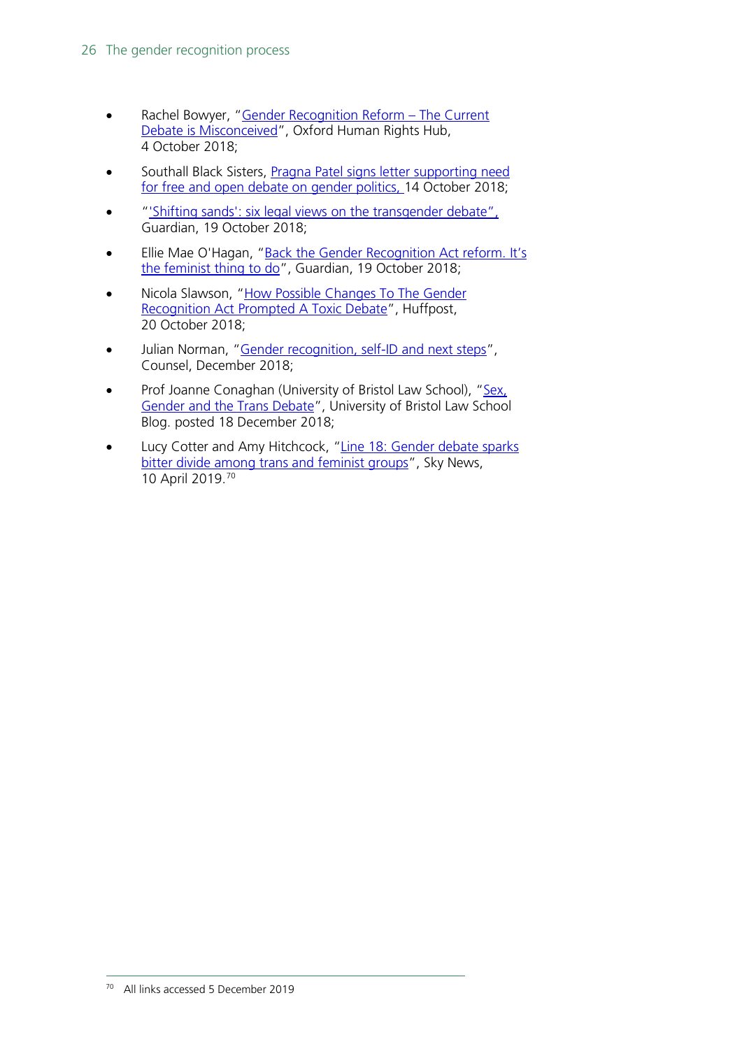- Rachel Bowyer, "Gender Recognition Reform The Current [Debate is Misconceived"](https://ohrh.law.ox.ac.uk/gender-recognition-reform-the-current-debate-is-misconceived/), Oxford Human Rights Hub, 4 October 2018;
- Southall Black Sisters, Pragna Patel signs letter supporting need [for free and open debate on gender politics,](https://www.southallblacksisters.org.uk/news/sbs-signs-letter-supporting-need-for-free-and-open-debate-on-gender-politics) 14 October 2018;
- ["'Shifting sands': six legal views on the transgender debate"](https://www.theguardian.com/society/2018/oct/19/gender-recognition-act-reforms-six-legal-views-transgender-debate), Guardian, 19 October 2018;
- Ellie Mae O'Hagan, "Back the Gender Recognition Act reform. It's [the feminist thing to do"](https://www.theguardian.com/commentisfree/2018/oct/19/gender-recognition-act-feminist-self-identification-consultation), Guardian, 19 October 2018;
- Nicola Slawson, "How Possible Changes To The Gender [Recognition Act Prompted A Toxic Debate"](https://www.huffingtonpost.co.uk/entry/government-consultation-gender-recognition-act_uk_5bc8ab92e4b0d38b5875dde1), Huffpost, 20 October 2018;
- Julian Norman, ["Gender recognition, self-ID and next steps"](https://www.counselmagazine.co.uk/articles/gender-recognition-self-id-and-next-steps), Counsel, December 2018;
- Prof Joanne Conaghan (University of Bristol Law School), "Sex, [Gender and the Trans Debate"](https://legalresearch.blogs.bris.ac.uk/2018/12/sex-gender-and-the-trans-debate/), University of Bristol Law School Blog. posted 18 December 2018;
- <span id="page-25-0"></span>• Lucy Cotter and Amy Hitchcock, "Line 18: Gender debate sparks [bitter divide among trans and feminist groups"](https://news.sky.com/story/line-18-gender-debate-sparks-bitter-divide-among-trans-and-feminist-groups-11439676), Sky News, 10 April 2019. [70](#page-25-0)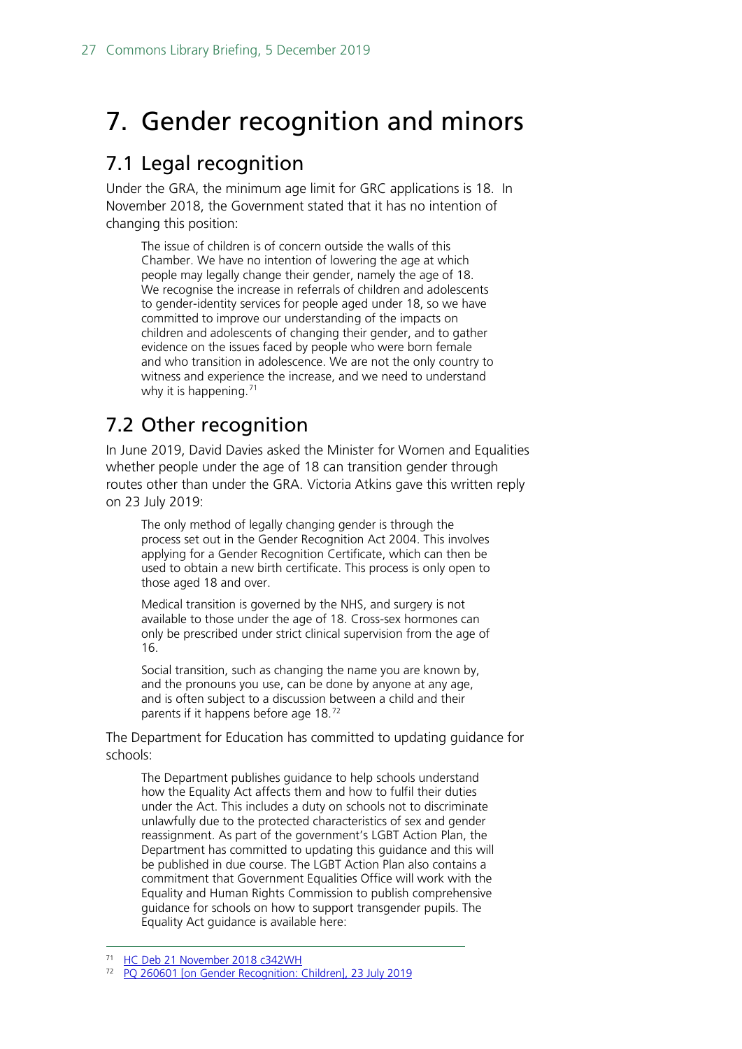# <span id="page-26-0"></span>7. Gender recognition and minors

## <span id="page-26-1"></span>7.1 Legal recognition

Under the GRA, the minimum age limit for GRC applications is 18. In November 2018, the Government stated that it has no intention of changing this position:

The issue of children is of concern outside the walls of this Chamber. We have no intention of lowering the age at which people may legally change their gender, namely the age of 18. We recognise the increase in referrals of children and adolescents to gender-identity services for people aged under 18, so we have committed to improve our understanding of the impacts on children and adolescents of changing their gender, and to gather evidence on the issues faced by people who were born female and who transition in adolescence. We are not the only country to witness and experience the increase, and we need to understand why it is happening.<sup>[71](#page-26-3)</sup>

## <span id="page-26-2"></span>7.2 Other recognition

In June 2019, David Davies asked the Minister for Women and Equalities whether people under the age of 18 can transition gender through routes other than under the GRA. Victoria Atkins gave this written reply on 23 July 2019:

The only method of legally changing gender is through the process set out in the Gender Recognition Act 2004. This involves applying for a Gender Recognition Certificate, which can then be used to obtain a new birth certificate. This process is only open to those aged 18 and over.

Medical transition is governed by the NHS, and surgery is not available to those under the age of 18. Cross-sex hormones can only be prescribed under strict clinical supervision from the age of 16.

Social transition, such as changing the name you are known by, and the pronouns you use, can be done by anyone at any age, and is often subject to a discussion between a child and their parents if it happens before age 18.[72](#page-26-4)

The Department for Education has committed to updating guidance for schools:

The Department publishes guidance to help schools understand how the Equality Act affects them and how to fulfil their duties under the Act. This includes a duty on schools not to discriminate unlawfully due to the protected characteristics of sex and gender reassignment. As part of the government's LGBT Action Plan, the Department has committed to updating this guidance and this will be published in due course. The LGBT Action Plan also contains a commitment that Government Equalities Office will work with the Equality and Human Rights Commission to publish comprehensive guidance for schools on how to support transgender pupils. The Equality Act guidance is available here:

<span id="page-26-3"></span>[HC Deb 21 November 2018 c342WH](https://hansard.parliament.uk/Commons/2018-11-21/debates/BE06C5D4-E549-4F94-87B1-9B77F32EA155/Self-IdentificationOfGender#contribution-AC5B7230-57D5-4C70-8B95-B6DC80CF85D7)

<span id="page-26-4"></span><sup>72</sup> [PQ 260601 \[on Gender Recognition: Children\], 23 July 2019](https://www.parliament.uk/written-questions-answers-statements/written-question/commons/2019-06-05/260601)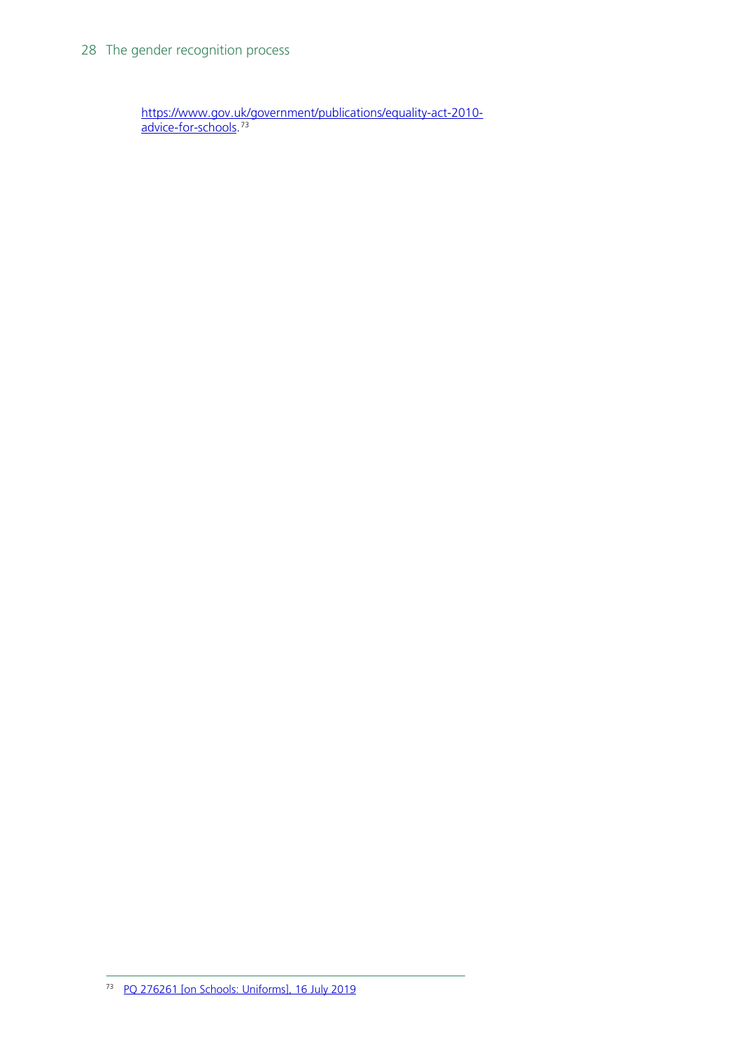<span id="page-27-0"></span>[https://www.gov.uk/government/publications/equality-act-2010](https://www.gov.uk/government/publications/equality-act-2010-advice-for-schools) [advice-for-schools.](https://www.gov.uk/government/publications/equality-act-2010-advice-for-schools) [73](#page-27-0)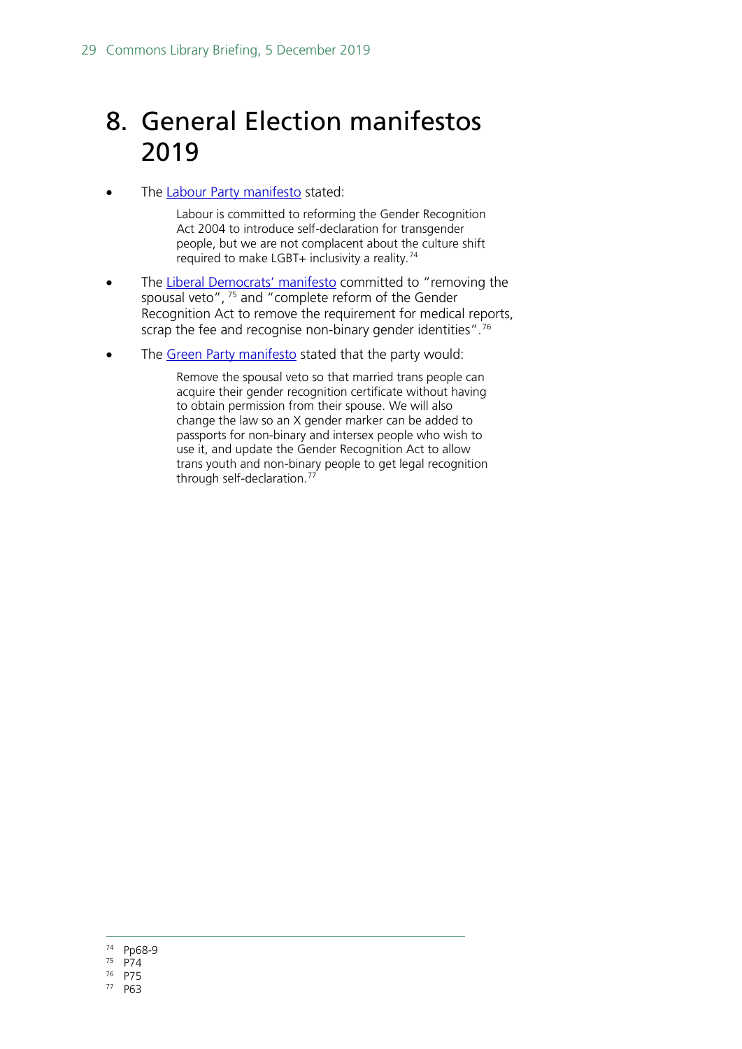# <span id="page-28-0"></span>8. General Election manifestos 2019

• The [Labour Party manifesto](https://labour.org.uk/wp-content/uploads/2019/11/Real-Change-Labour-Manifesto-2019.pdf#page=68) stated:

Labour is committed to reforming the Gender Recognition Act 2004 to introduce self-declaration for transgender people, but we are not complacent about the culture shift required to make LGBT+ inclusivity a reality.[74](#page-28-1)

- The [Liberal Democrats'](https://d3n8a8pro7vhmx.cloudfront.net/libdems/pages/57307/attachments/original/1574876236/Stop_Brexit_and_Build_a_Brighter_Future.pdf?1574876236#page=76) manifesto committed to "removing the spousal veto", [75](#page-28-2) and "complete reform of the Gender Recognition Act to remove the requirement for medical reports, scrap the fee and recognise non-binary gender identities". [76](#page-28-3)
- The [Green Party manifesto](https://www.greenparty.org.uk/assets/files/Elections/Green%20Party%20Manifesto%202019.pdf#page=66) stated that the party would:

Remove the spousal veto so that married trans people can acquire their gender recognition certificate without having to obtain permission from their spouse. We will also change the law so an X gender marker can be added to passports for non-binary and intersex people who wish to use it, and update the Gender Recognition Act to allow trans youth and non-binary people to get legal recognition through self-declaration.[77](#page-28-4)

- <span id="page-28-1"></span>74 Pp68-9
- <span id="page-28-2"></span><sup>75</sup> P74
- <span id="page-28-3"></span><sup>76</sup> P75
- <span id="page-28-4"></span><sup>77</sup> P63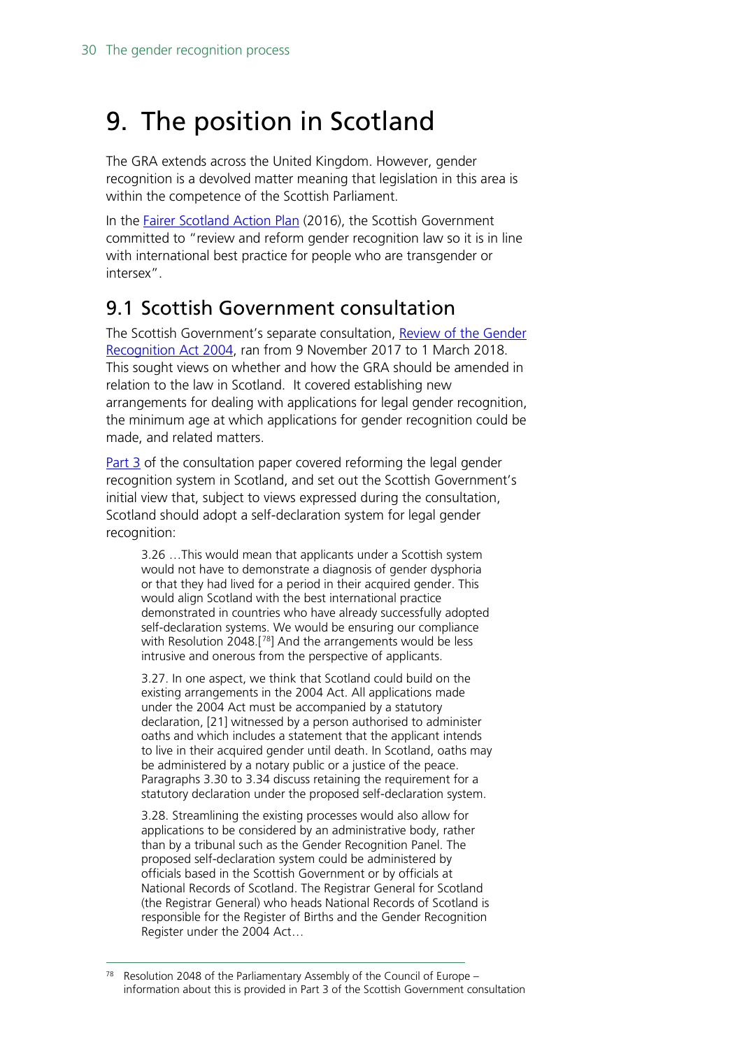# <span id="page-29-0"></span>9. The position in Scotland

The GRA extends across the United Kingdom. However, gender recognition is a devolved matter meaning that legislation in this area is within the competence of the Scottish Parliament.

In the **Fairer Scotland Action Plan** (2016), the Scottish Government committed to "review and reform gender recognition law so it is in line with international best practice for people who are transgender or intersex".

## <span id="page-29-1"></span>9.1 Scottish Government consultation

The Scottish Government's separate consultation, Review of the Gender [Recognition Act 2004,](https://www2.gov.scot/Resource/0052/00527449.pdf) ran from 9 November 2017 to 1 March 2018. This sought views on whether and how the GRA should be amended in relation to the law in Scotland. It covered establishing new arrangements for dealing with applications for legal gender recognition, the minimum age at which applications for gender recognition could be made, and related matters.

[Part 3](http://www.gov.scot/Resource/0052/00527449.pdf#page=12) of the consultation paper covered reforming the legal gender recognition system in Scotland, and set out the Scottish Government's initial view that, subject to views expressed during the consultation, Scotland should adopt a self-declaration system for legal gender recognition:

3.26 …This would mean that applicants under a Scottish system would not have to demonstrate a diagnosis of gender dysphoria or that they had lived for a period in their acquired gender. This would align Scotland with the best international practice demonstrated in countries who have already successfully adopted self-declaration systems. We would be ensuring our compliance with Resolution 2048.[[78](#page-29-2)] And the arrangements would be less intrusive and onerous from the perspective of applicants.

3.27. In one aspect, we think that Scotland could build on the existing arrangements in the 2004 Act. All applications made under the 2004 Act must be accompanied by a statutory declaration, [21] witnessed by a person authorised to administer oaths and which includes a statement that the applicant intends to live in their acquired gender until death. In Scotland, oaths may be administered by a notary public or a justice of the peace. Paragraphs 3.30 to 3.34 discuss retaining the requirement for a statutory declaration under the proposed self-declaration system.

3.28. Streamlining the existing processes would also allow for applications to be considered by an administrative body, rather than by a tribunal such as the Gender Recognition Panel. The proposed self-declaration system could be administered by officials based in the Scottish Government or by officials at National Records of Scotland. The Registrar General for Scotland (the Registrar General) who heads National Records of Scotland is responsible for the Register of Births and the Gender Recognition Register under the 2004 Act…

<span id="page-29-2"></span>Resolution 2048 of the Parliamentary Assembly of the Council of Europe – information about this is provided in Part 3 of the Scottish Government consultation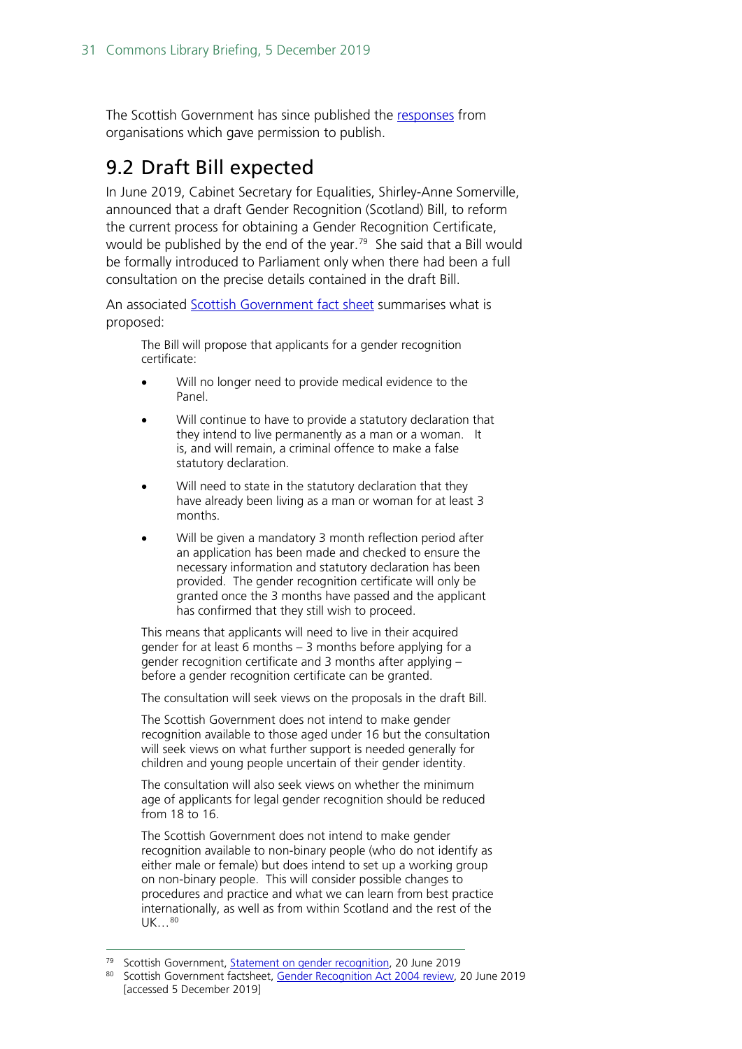The Scottish Government has since published the [responses](https://www2.gov.scot/Topics/Justice/law/17867/gender-recognition-review/review-of-gender-recognition-act-2004-list-of-orga) from organisations which gave permission to publish.

## <span id="page-30-0"></span>9.2 Draft Bill expected

In June 2019, Cabinet Secretary for Equalities, Shirley-Anne Somerville, announced that a draft Gender Recognition (Scotland) Bill, to reform the current process for obtaining a Gender Recognition Certificate, would be published by the end of the year. [79](#page-30-1) She said that a Bill would be formally introduced to Parliament only when there had been a full consultation on the precise details contained in the draft Bill.

An associated [Scottish Government fact sheet](https://www.gov.scot/publications/review-of-gender-recognition-act-2004/) summarises what is proposed:

The Bill will propose that applicants for a gender recognition certificate:

- Will no longer need to provide medical evidence to the Panel.
- Will continue to have to provide a statutory declaration that they intend to live permanently as a man or a woman. It is, and will remain, a criminal offence to make a false statutory declaration.
- Will need to state in the statutory declaration that they have already been living as a man or woman for at least 3 months.
- Will be given a mandatory 3 month reflection period after an application has been made and checked to ensure the necessary information and statutory declaration has been provided. The gender recognition certificate will only be granted once the 3 months have passed and the applicant has confirmed that they still wish to proceed.

This means that applicants will need to live in their acquired gender for at least 6 months – 3 months before applying for a gender recognition certificate and 3 months after applying – before a gender recognition certificate can be granted.

The consultation will seek views on the proposals in the draft Bill.

The Scottish Government does not intend to make gender recognition available to those aged under 16 but the consultation will seek views on what further support is needed generally for children and young people uncertain of their gender identity.

The consultation will also seek views on whether the minimum age of applicants for legal gender recognition should be reduced from 18 to 16.

The Scottish Government does not intend to make gender recognition available to non-binary people (who do not identify as either male or female) but does intend to set up a working group on non-binary people. This will consider possible changes to procedures and practice and what we can learn from best practice internationally, as well as from within Scotland and the rest of the UK...<sup>[80](#page-30-2)</sup>

<span id="page-30-1"></span><sup>&</sup>lt;sup>79</sup> Scottish Government, **Statement on gender recognition**, 20 June 2019

<span id="page-30-2"></span><sup>80</sup> Scottish Government factsheet, [Gender Recognition Act 2004 review,](https://www.gov.scot/publications/review-of-gender-recognition-act-2004/) 20 June 2019 [accessed 5 December 2019]